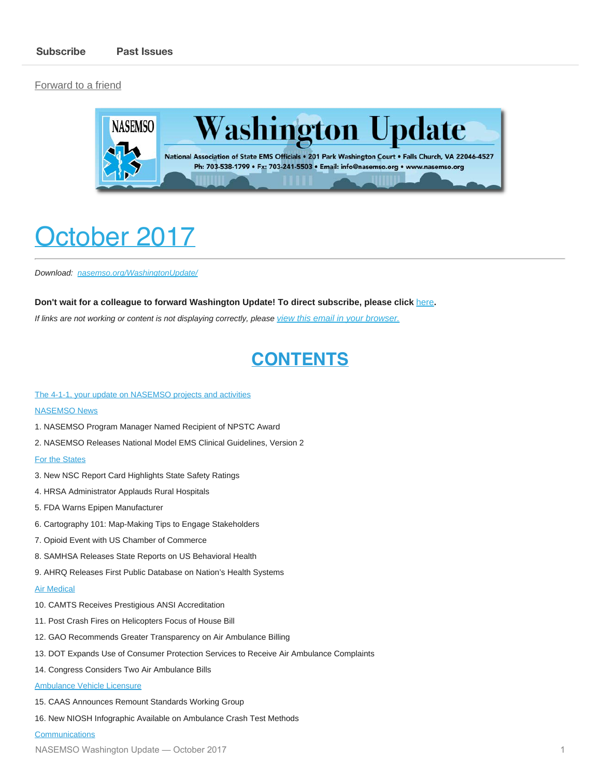[Forward to a friend](http://us13.forward-to-friend.com/forward?u=bdaf9a0cf267d423437d7b149&id=2e9ed46a4e&e=[UNIQID])



# <span id="page-0-0"></span>October 2017

*Download: [nasemso.org/WashingtonUpdate/](http://www.nasemso.org/WashingtonUpdate/)*

#### **Don't wait for a colleague to forward Washington Update! To direct subscribe, please click** [here](http://eepurl.com/cb1_dP)**.**

*If links are not working or content is not displaying correctly, please [view this email in your browser.](http://mailchi.mp/6436a1a912ff/washington-update-spring-1280597?e=[UNIQID])*

### **CONTENTS**

#### [The 4-1-1, your update on NASEMSO projects and activities](#page-2-0)

#### **[NASEMSO News](#page-3-0)**

- 1. NASEMSO Program Manager Named Recipient of NPSTC Award
- 2. NASEMSO Releases National Model EMS Clinical Guidelines, Version 2

#### [For the States](#page-4-0)

- 3. New NSC Report Card Highlights State Safety Ratings
- 4. HRSA Administrator Applauds Rural Hospitals
- 5. FDA Warns Epipen Manufacturer
- 6. Cartography 101: Map-Making Tips to Engage Stakeholders
- 7. Opioid Event with US Chamber of Commerce
- 8. SAMHSA Releases State Reports on US Behavioral Health
- 9. AHRQ Releases First Public Database on Nation's Health Systems

#### **[Air Medical](#page-6-0)**

- 10. CAMTS Receives Prestigious ANSI Accreditation
- 11. Post Crash Fires on Helicopters Focus of House Bill
- 12. GAO Recommends Greater Transparency on Air Ambulance Billing
- 13. DOT Expands Use of Consumer Protection Services to Receive Air Ambulance Complaints
- 14. Congress Considers Two Air Ambulance Bills

#### [Ambulance Vehicle Licensure](#page-8-0)

15. CAAS Announces Remount Standards Working Group

16. New NIOSH Infographic Available on Ambulance Crash Test Methods

#### **[Communications](#page-9-0)**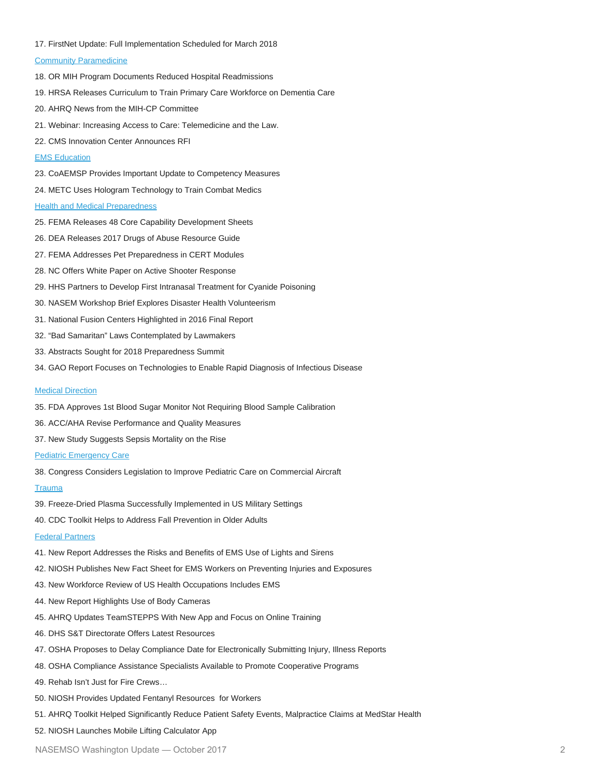17. FirstNet Update: Full Implementation Scheduled for March 2018

#### [Community Paramedicine](#page-9-1)

- 18. OR MIH Program Documents Reduced Hospital Readmissions
- 19. HRSA Releases Curriculum to Train Primary Care Workforce on Dementia Care
- 20. AHRQ News from the MIH-CP Committee
- 21. Webinar: Increasing Access to Care: Telemedicine and the Law.
- 22. CMS Innovation Center Announces RFI

#### [EMS Education](#page-11-0)

- 23. CoAEMSP Provides Important Update to Competency Measures
- 24. METC Uses Hologram Technology to Train Combat Medics

#### **[Health and Medical Preparedness](#page-12-0)**

- 25. FEMA Releases 48 Core Capability Development Sheets
- 26. DEA Releases 2017 Drugs of Abuse Resource Guide
- 27. FEMA Addresses Pet Preparedness in CERT Modules
- 28. NC Offers White Paper on Active Shooter Response
- 29. HHS Partners to Develop First Intranasal Treatment for Cyanide Poisoning
- 30. NASEM Workshop Brief Explores Disaster Health Volunteerism
- 31. National Fusion Centers Highlighted in 2016 Final Report
- 32. "Bad Samaritan" Laws Contemplated by Lawmakers
- 33. Abstracts Sought for 2018 Preparedness Summit
- 34. GAO Report Focuses on Technologies to Enable Rapid Diagnosis of Infectious Disease

#### **[Medical Direction](#page-15-0)**

- 35. FDA Approves 1st Blood Sugar Monitor Not Requiring Blood Sample Calibration
- 36. ACC/AHA Revise Performance and Quality Measures
- 37. New Study Suggests Sepsis Mortality on the Rise

#### [Pediatric Emergency Care](#page-17-0)

38. Congress Considers Legislation to Improve Pediatric Care on Commercial Aircraft

#### **[Trauma](#page-17-1)**

- 39. Freeze-Dried Plasma Successfully Implemented in US Military Settings
- 40. CDC Toolkit Helps to Address Fall Prevention in Older Adults

#### [Federal Partners](#page-18-0)

- 41. New Report Addresses the Risks and Benefits of EMS Use of Lights and Sirens
- 42. NIOSH Publishes New Fact Sheet for EMS Workers on Preventing Injuries and Exposures
- 43. New Workforce Review of US Health Occupations Includes EMS
- 44. New Report Highlights Use of Body Cameras
- 45. AHRQ Updates TeamSTEPPS With New App and Focus on Online Training
- 46. DHS S&T Directorate Offers Latest Resources
- 47. OSHA Proposes to Delay Compliance Date for Electronically Submitting Injury, Illness Reports
- 48. OSHA Compliance Assistance Specialists Available to Promote Cooperative Programs
- 49. Rehab Isn't Just for Fire Crews…
- 50. NIOSH Provides Updated Fentanyl Resources for Workers
- 51. AHRQ Toolkit Helped Significantly Reduce Patient Safety Events, Malpractice Claims at MedStar Health
- 52. NIOSH Launches Mobile Lifting Calculator App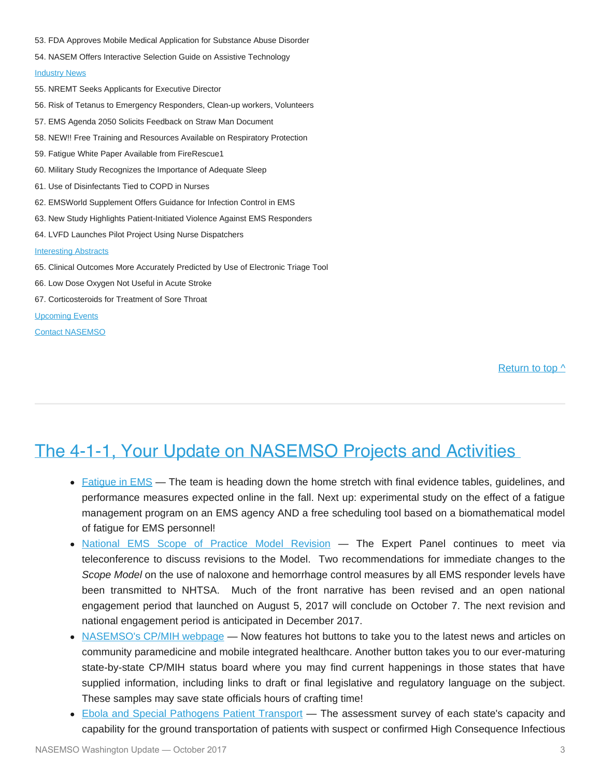- 53. FDA Approves Mobile Medical Application for Substance Abuse Disorder
- 54. NASEM Offers Interactive Selection Guide on Assistive Technology

#### [Industry News](#page-23-0)

- 55. NREMT Seeks Applicants for Executive Director
- 56. Risk of Tetanus to Emergency Responders, Clean-up workers, Volunteers
- 57. EMS Agenda 2050 Solicits Feedback on Straw Man Document
- 58. NEW!! Free Training and Resources Available on Respiratory Protection
- 59. Fatigue White Paper Available from FireRescue1
- 60. Military Study Recognizes the Importance of Adequate Sleep
- 61. Use of Disinfectants Tied to COPD in Nurses
- 62. EMSWorld Supplement Offers Guidance for Infection Control in EMS
- 63. New Study Highlights Patient-Initiated Violence Against EMS Responders
- 64. LVFD Launches Pilot Project Using Nurse Dispatchers

#### [Interesting Abstracts](#page-26-0)

- 65. Clinical Outcomes More Accurately Predicted by Use of Electronic Triage Tool
- 66. Low Dose Oxygen Not Useful in Acute Stroke
- 67. Corticosteroids for Treatment of Sore Throat

[Upcoming Events](#page-27-0)

[Contact NASEMSO](#page-29-0)

[Return to top ^](#page-0-0)

### <span id="page-2-0"></span>The 4-1-1, Your Update on NASEMSO Projects and Activities

- [Fatigue in EMS](http://www.emsfatigue.org/) The team is heading down the home stretch with final evidence tables, guidelines, and performance measures expected online in the fall. Next up: experimental study on the effect of a fatigue management program on an EMS agency AND a free scheduling tool based on a biomathematical model of fatigue for EMS personnel!
- . [National EMS Scope of Practice Model Revision](http://nasemso.org/Projects/EMSScopeOfPractice/)  The Expert Panel continues to meet via teleconference to discuss revisions to the Model. Two recommendations for immediate changes to the *Scope Model* on the use of naloxone and hemorrhage control measures by all EMS responder levels have been transmitted to NHTSA. Much of the front narrative has been revised and an open national engagement period that launched on August 5, 2017 will conclude on October 7. The next revision and national engagement period is anticipated in December 2017.
- [NASEMSO's CP/MIH webpage](http://nasemso.org/Projects/MobileIntegratedHealth/Documents-Resources.asp)  Now features hot buttons to take you to the latest news and articles on community paramedicine and mobile integrated healthcare. Another button takes you to our ever-maturing state-by-state CP/MIH status board where you may find current happenings in those states that have supplied information, including links to draft or final legislative and regulatory language on the subject. These samples may save state officials hours of crafting time!
- [Ebola and Special Pathogens Patient Transport](http://nasemso.org/Projects/DomesticPreparedness/Ebola-and-Special-Pathogens-Patient-Transport-Cooperative-Agreement.asp) The assessment survey of each state's capacity and capability for the ground transportation of patients with suspect or confirmed High Consequence Infectious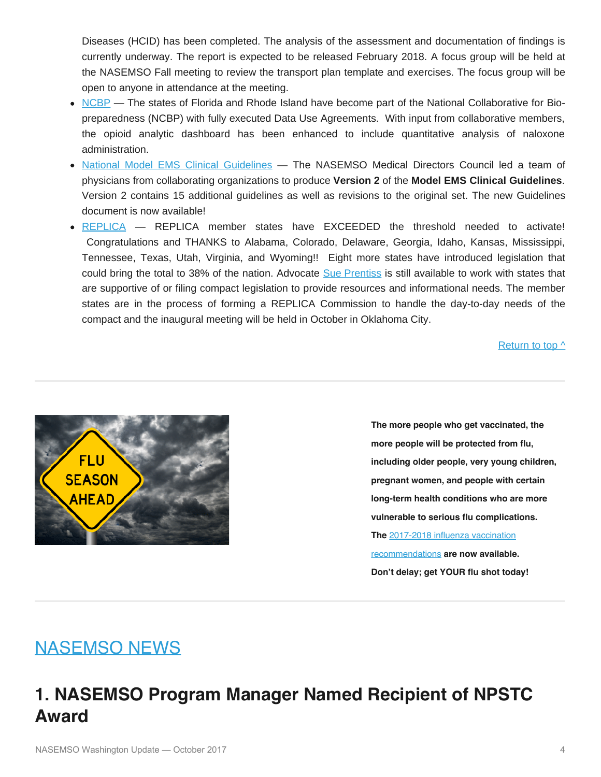Diseases (HCID) has been completed. The analysis of the assessment and documentation of findings is currently underway. The report is expected to be released February 2018. A focus group will be held at the NASEMSO Fall meeting to review the transport plan template and exercises. The focus group will be open to anyone in attendance at the meeting.

- [NCBP](http://directory.ncbiotech.org/content/national-collaborative-bio-preparedness)  The states of Florida and Rhode Island have become part of the National Collaborative for Biopreparedness (NCBP) with fully executed Data Use Agreements. With input from collaborative members, the opioid analytic dashboard has been enhanced to include quantitative analysis of naloxone administration.
- [National Model EMS Clinical Guidelines](https://www.nasemso.org/Projects/ModelEMSClinicalGuidelines/index.asp)  The NASEMSO Medical Directors Council led a team of physicians from collaborating organizations to produce **Version 2** of the **Model EMS Clinical Guidelines**. Version 2 contains 15 additional guidelines as well as revisions to the original set. The new Guidelines document is now available!
- [REPLICA](http://www.emsreplica.org/) REPLICA member states have EXCEEDED the threshold needed to activate! Congratulations and THANKS to Alabama, Colorado, Delaware, Georgia, Idaho, Kansas, Mississippi, Tennessee, Texas, Utah, Virginia, and Wyoming!! Eight more states have introduced legislation that could bring the total to 38% of the nation. Advocate [Sue Prentiss](mailto:prentiss@emsreplica.org) is still available to work with states that are supportive of or filing compact legislation to provide resources and informational needs. The member states are in the process of forming a REPLICA Commission to handle the day-to-day needs of the compact and the inaugural meeting will be held in October in Oklahoma City.

[Return to top ^](#page-0-0)



**The more people who get vaccinated, the more people will be protected from flu, including older people, very young children, pregnant women, and people with certain long-term health conditions who are more vulnerable to serious flu complications. The** [2017-2018 influenza vaccination](https://www.cdc.gov/flu/professionals/acip/index.htm) [recommendations](https://www.cdc.gov/flu/professionals/acip/index.htm) **are now available. Don't delay; get YOUR flu shot today!**

## <span id="page-3-0"></span>NASEMSO NEWS

## **1. NASEMSO Program Manager Named Recipient of NPSTC Award**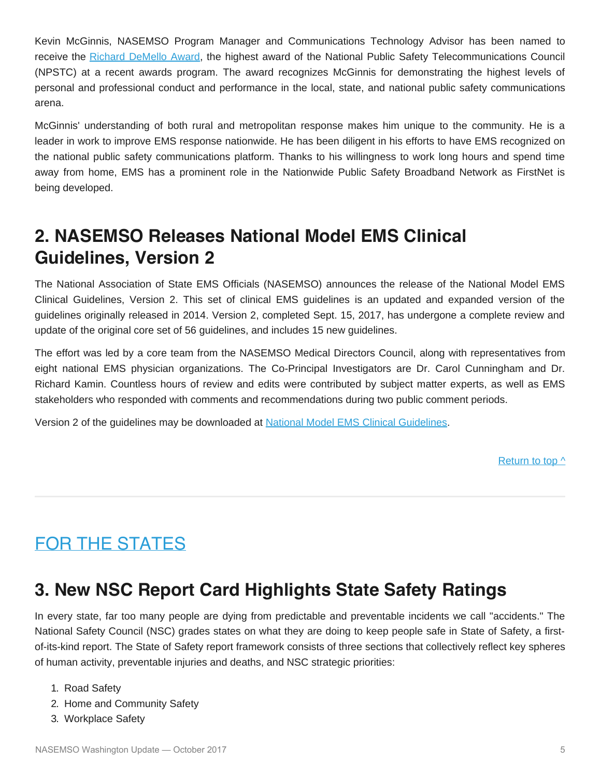Kevin McGinnis, NASEMSO Program Manager and Communications Technology Advisor has been named to receive the [Richard DeMello Award,](http://www.npstc.org/awards.jsp) the highest award of the National Public Safety Telecommunications Council (NPSTC) at a recent awards program. The award recognizes McGinnis for demonstrating the highest levels of personal and professional conduct and performance in the local, state, and national public safety communications arena.

McGinnis' understanding of both rural and metropolitan response makes him unique to the community. He is a leader in work to improve EMS response nationwide. He has been diligent in his efforts to have EMS recognized on the national public safety communications platform. Thanks to his willingness to work long hours and spend time away from home, EMS has a prominent role in the Nationwide Public Safety Broadband Network as FirstNet is being developed.

## **2. NASEMSO Releases National Model EMS Clinical Guidelines, Version 2**

The National Association of State EMS Officials (NASEMSO) announces the release of the National Model EMS Clinical Guidelines, Version 2. This set of clinical EMS guidelines is an updated and expanded version of the guidelines originally released in 2014. Version 2, completed Sept. 15, 2017, has undergone a complete review and update of the original core set of 56 guidelines, and includes 15 new guidelines.

The effort was led by a core team from the NASEMSO Medical Directors Council, along with representatives from eight national EMS physician organizations. The Co-Principal Investigators are Dr. Carol Cunningham and Dr. Richard Kamin. Countless hours of review and edits were contributed by subject matter experts, as well as EMS stakeholders who responded with comments and recommendations during two public comment periods.

Version 2 of the guidelines may be downloaded at [National Model EMS Clinical Guidelines](http://www.nasemso.org/documents/National-Model-EMS-Clinical-Guidelines-Version2-Sept2017.pdf).

[Return to top ^](#page-0-0)

## <span id="page-4-0"></span>FOR THE STATES

## **3. New NSC Report Card Highlights State Safety Ratings**

In every state, far too many people are dying from predictable and preventable incidents we call "accidents." The National Safety Council (NSC) grades states on what they are doing to keep people safe in State of Safety, a firstof-its-kind report. The State of Safety report framework consists of three sections that collectively reflect key spheres of human activity, preventable injuries and deaths, and NSC strategic priorities:

- 1. Road Safety
- 2. Home and Community Safety
- 3. Workplace Safety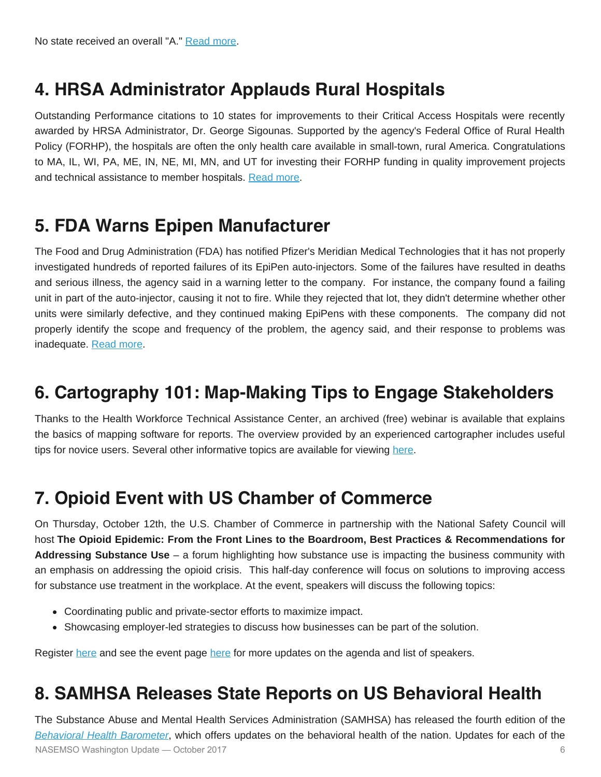## **4. HRSA Administrator Applauds Rural Hospitals**

Outstanding Performance citations to 10 states for improvements to their Critical Access Hospitals were recently awarded by HRSA Administrator, Dr. George Sigounas. Supported by the agency's Federal Office of Rural Health Policy (FORHP), the hospitals are often the only health care available in small-town, rural America. Congratulations to MA, IL, WI, PA, ME, IN, NE, MI, MN, and UT for investing their FORHP funding in quality improvement projects and technical assistance to member hospitals. [Read more](https://www.hrsa.gov/about/news/press-releases/HRSA-Recognizes-10-States.html).

### **5. FDA Warns Epipen Manufacturer**

The Food and Drug Administration (FDA) has notified Pfizer's Meridian Medical Technologies that it has not properly investigated hundreds of reported failures of its EpiPen auto-injectors. Some of the failures have resulted in deaths and serious illness, the agency said in a warning letter to the company. For instance, the company found a failing unit in part of the auto-injector, causing it not to fire. While they rejected that lot, they didn't determine whether other units were similarly defective, and they continued making EpiPens with these components. The company did not properly identify the scope and frequency of the problem, the agency said, and their response to problems was inadequate. [Read more](https://www.fda.gov/ICECI/EnforcementActions/WarningLetters/2017/ucm574981.htm).

## **6. Cartography 101: Map-Making Tips to Engage Stakeholders**

Thanks to the Health Workforce Technical Assistance Center, an archived (free) webinar is available that explains the basics of mapping software for reports. The overview provided by an experienced cartographer includes useful tips for novice users. Several other informative topics are available for viewing [here](http://www.healthworkforceta.org/resources/webinars/).

## **7. Opioid Event with US Chamber of Commerce**

On Thursday, October 12th, the U.S. Chamber of Commerce in partnership with the National Safety Council will host **The Opioid Epidemic: From the Front Lines to the Boardroom, Best Practices & Recommendations for Addressing Substance Use** – a forum highlighting how substance use is impacting the business community with an emphasis on addressing the opioid crisis. This half-day conference will focus on solutions to improving access for substance use treatment in the workplace. At the event, speakers will discuss the following topics:

- Coordinating public and private-sector efforts to maximize impact.
- Showcasing employer-led strategies to discuss how businesses can be part of the solution.

Register [here](https://tinyurl.com/yddm429g) and see the event page [here](https://www.uschamber.com/event/the-opioid-epidemic-the-front-lines-the-boardroom) for more updates on the agenda and list of speakers.

## **8. SAMHSA Releases State Reports on US Behavioral Health**

The Substance Abuse and Mental Health Services Administration (SAMHSA) has released the fourth edition of the *[Behavioral Health Barometer](https://www.samhsa.gov/newsroom/press-announcements/201708101100)*, which offers updates on the behavioral health of the nation. Updates for each of the NASEMSO Washington Update — October 2017 6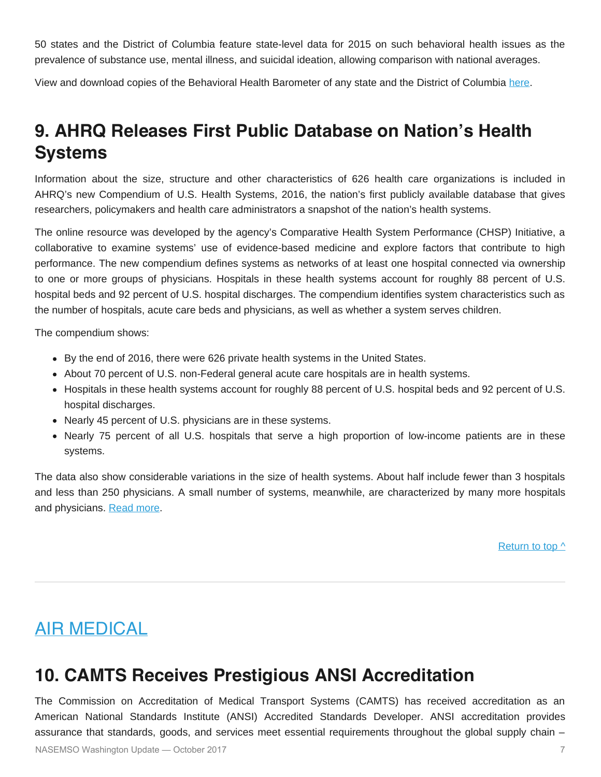50 states and the District of Columbia feature state-level data for 2015 on such behavioral health issues as the prevalence of substance use, mental illness, and suicidal ideation, allowing comparison with national averages.

View and download copies of the Behavioral Health Barometer of any state and the District of Columbia [here.](https://store.samhsa.gov/product/Behavioral-Health-Barometer-Volume-4/SMA17-BAROUS-16)

## **9. AHRQ Releases First Public Database on Nation's Health Systems**

Information about the size, structure and other characteristics of 626 health care organizations is included in AHRQ's new Compendium of U.S. Health Systems, 2016, the nation's first publicly available database that gives researchers, policymakers and health care administrators a snapshot of the nation's health systems.

The online resource was developed by the agency's Comparative Health System Performance (CHSP) Initiative, a collaborative to examine systems' use of evidence-based medicine and explore factors that contribute to high performance. The new compendium defines systems as networks of at least one hospital connected via ownership to one or more groups of physicians. Hospitals in these health systems account for roughly 88 percent of U.S. hospital beds and 92 percent of U.S. hospital discharges. The compendium identifies system characteristics such as the number of hospitals, acute care beds and physicians, as well as whether a system serves children.

The compendium shows:

- By the end of 2016, there were 626 private health systems in the United States.
- About 70 percent of U.S. non-Federal general acute care hospitals are in health systems.
- Hospitals in these health systems account for roughly 88 percent of U.S. hospital beds and 92 percent of U.S. hospital discharges.
- Nearly 45 percent of U.S. physicians are in these systems.
- Nearly 75 percent of all U.S. hospitals that serve a high proportion of low-income patients are in these systems.

The data also show considerable variations in the size of health systems. About half include fewer than 3 hospitals and less than 250 physicians. A small number of systems, meanwhile, are characterized by many more hospitals and physicians. [Read more.](https://www.ahrq.gov/chsp/compendium/index.html)

Return to top  $\wedge$ 

## <span id="page-6-0"></span>AIR MEDICAL

## **10. CAMTS Receives Prestigious ANSI Accreditation**

The Commission on Accreditation of Medical Transport Systems (CAMTS) has received accreditation as an American National Standards Institute (ANSI) Accredited Standards Developer. ANSI accreditation provides assurance that standards, goods, and services meet essential requirements throughout the global supply chain –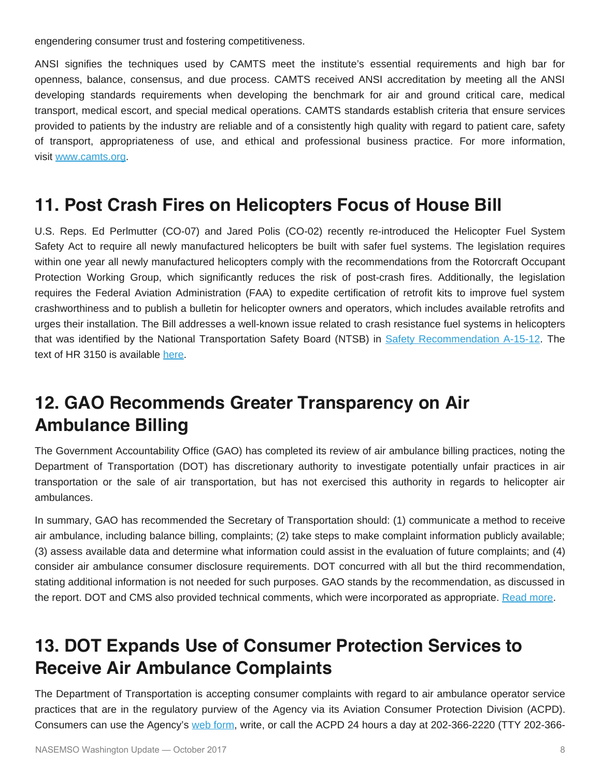engendering consumer trust and fostering competitiveness.

ANSI signifies the techniques used by CAMTS meet the institute's essential requirements and high bar for openness, balance, consensus, and due process. CAMTS received ANSI accreditation by meeting all the ANSI developing standards requirements when developing the benchmark for air and ground critical care, medical transport, medical escort, and special medical operations. CAMTS standards establish criteria that ensure services provided to patients by the industry are reliable and of a consistently high quality with regard to patient care, safety of transport, appropriateness of use, and ethical and professional business practice. For more information, visit [www.camts.org](http://www.camts.org/).

#### **11. Post Crash Fires on Helicopters Focus of House Bill**

U.S. Reps. Ed Perlmutter (CO-07) and Jared Polis (CO-02) recently re-introduced the Helicopter Fuel System Safety Act to require all newly manufactured helicopters be built with safer fuel systems. The legislation requires within one year all newly manufactured helicopters comply with the recommendations from the Rotorcraft Occupant Protection Working Group, which significantly reduces the risk of post-crash fires. Additionally, the legislation requires the Federal Aviation Administration (FAA) to expedite certification of retrofit kits to improve fuel system crashworthiness and to publish a bulletin for helicopter owners and operators, which includes available retrofits and urges their installation. The Bill addresses a well-known issue related to crash resistance fuel systems in helicopters that was identified by the National Transportation Safety Board (NTSB) in [Safety Recommendation A-15-12](https://www.ntsb.gov/_layouts/ntsb.recsearch/Recommendation.aspx?Rec=A-15-012). The text of HR 3150 is available [here](https://www.congress.gov/bill/115th-congress/house-bill/3150/text).

## **12. GAO Recommends Greater Transparency on Air Ambulance Billing**

The Government Accountability Office (GAO) has completed its review of air ambulance billing practices, noting the Department of Transportation (DOT) has discretionary authority to investigate potentially unfair practices in air transportation or the sale of air transportation, but has not exercised this authority in regards to helicopter air ambulances.

In summary, GAO has recommended the Secretary of Transportation should: (1) communicate a method to receive air ambulance, including balance billing, complaints; (2) take steps to make complaint information publicly available; (3) assess available data and determine what information could assist in the evaluation of future complaints; and (4) consider air ambulance consumer disclosure requirements. DOT concurred with all but the third recommendation, stating additional information is not needed for such purposes. GAO stands by the recommendation, as discussed in the report. DOT and CMS also provided technical comments, which were incorporated as appropriate. [Read more](https://www.gao.gov/products/GAO-17-637).

## **13. DOT Expands Use of Consumer Protection Services to Receive Air Ambulance Complaints**

The Department of Transportation is accepting consumer complaints with regard to air ambulance operator service practices that are in the regulatory purview of the Agency via its Aviation Consumer Protection Division (ACPD). Consumers can use the Agency's [web form](https://www.transportation.gov/airconsumer/file-consumer-complaint), write, or call the ACPD 24 hours a day at 202-366-2220 (TTY 202-366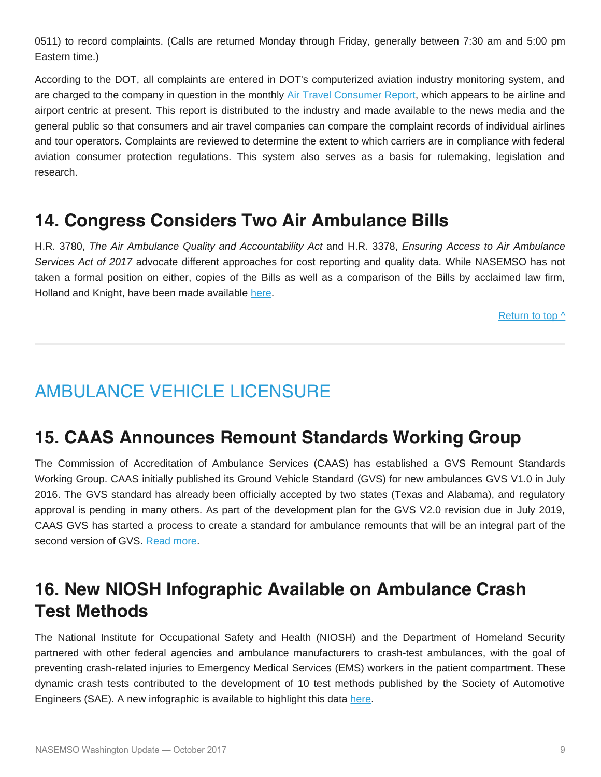0511) to record complaints. (Calls are returned Monday through Friday, generally between 7:30 am and 5:00 pm Eastern time.)

According to the DOT, all complaints are entered in DOT's computerized aviation industry monitoring system, and are charged to the company in question in the monthly [Air Travel Consumer Report](https://www.transportation.gov/airconsumer/air-travel-consumer-reports), which appears to be airline and airport centric at present. This report is distributed to the industry and made available to the news media and the general public so that consumers and air travel companies can compare the complaint records of individual airlines and tour operators. Complaints are reviewed to determine the extent to which carriers are in compliance with federal aviation consumer protection regulations. This system also serves as a basis for rulemaking, legislation and research.

### **14. Congress Considers Two Air Ambulance Bills**

H.R. 3780, *The Air Ambulance Quality and Accountability Act* and H.R. 3378, *Ensuring Access to Air Ambulance Services Act of 2017* advocate different approaches for cost reporting and quality data. While NASEMSO has not taken a formal position on either, copies of the Bills as well as a comparison of the Bills by acclaimed law firm, Holland and Knight, have been made available [here](http://nasemso.org/Projects/AirMedical/).

[Return to top ^](#page-0-0)

## <span id="page-8-0"></span>AMBULANCE VEHICLE LICENSURE

### **15. CAAS Announces Remount Standards Working Group**

The Commission of Accreditation of Ambulance Services (CAAS) has established a GVS Remount Standards Working Group. CAAS initially published its Ground Vehicle Standard (GVS) for new ambulances GVS V1.0 in July 2016. The GVS standard has already been officially accepted by two states (Texas and Alabama), and regulatory approval is pending in many others. As part of the development plan for the GVS V2.0 revision due in July 2019, CAAS GVS has started a process to create a standard for ambulance remounts that will be an integral part of the second version of GVS. [Read more](http://images.magnetmail.net/images/clients/CAAS/attach/Rethinking_Remounts_EMS_Insider_August_2017.pdf).

## **16. New NIOSH Infographic Available on Ambulance Crash Test Methods**

The National Institute for Occupational Safety and Health (NIOSH) and the Department of Homeland Security partnered with other federal agencies and ambulance manufacturers to crash-test ambulances, with the goal of preventing crash-related injuries to Emergency Medical Services (EMS) workers in the patient compartment. These dynamic crash tests contributed to the development of 10 test methods published by the Society of Automotive Engineers (SAE). A new infographic is available to highlight this data [here](https://www.cdc.gov/niosh/topics/ems/pdfs/Ambulance-INFOGRAPHIC-051617.pdf).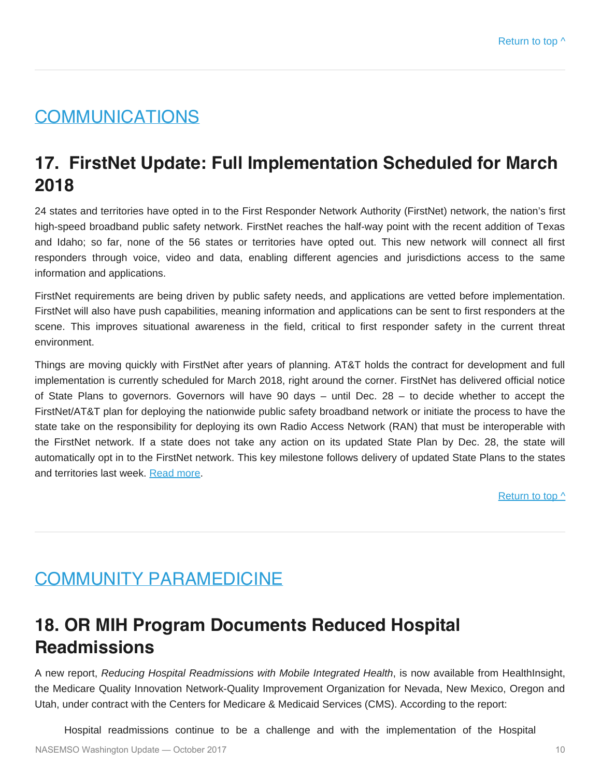## <span id="page-9-0"></span>**COMMUNICATIONS**

## **17. FirstNet Update: Full Implementation Scheduled for March 2018**

24 states and territories have opted in to the First Responder Network Authority (FirstNet) network, the nation's first high-speed broadband public safety network. FirstNet reaches the half-way point with the recent addition of Texas and Idaho; so far, none of the 56 states or territories have opted out. This new network will connect all first responders through voice, video and data, enabling different agencies and jurisdictions access to the same information and applications.

FirstNet requirements are being driven by public safety needs, and applications are vetted before implementation. FirstNet will also have push capabilities, meaning information and applications can be sent to first responders at the scene. This improves situational awareness in the field, critical to first responder safety in the current threat environment.

Things are moving quickly with FirstNet after years of planning. AT&T holds the contract for development and full implementation is currently scheduled for March 2018, right around the corner. FirstNet has delivered official notice of State Plans to governors. Governors will have 90 days – until Dec. 28 – to decide whether to accept the FirstNet/AT&T plan for deploying the nationwide public safety broadband network or initiate the process to have the state take on the responsibility for deploying its own Radio Access Network (RAN) that must be interoperable with the FirstNet network. If a state does not take any action on its updated State Plan by Dec. 28, the state will automatically opt in to the FirstNet network. This key milestone follows delivery of updated State Plans to the states and territories last week. [Read more](https://www.firstnet.gov/).

[Return to top ^](#page-0-0)

## <span id="page-9-1"></span>COMMUNITY PARAMEDICINE

## **18. OR MIH Program Documents Reduced Hospital Readmissions**

A new report, *Reducing Hospital Readmissions with Mobile Integrated Health*, is now available from HealthInsight, the Medicare Quality Innovation Network-Quality Improvement Organization for Nevada, New Mexico, Oregon and Utah, under contract with the Centers for Medicare & Medicaid Services (CMS). According to the report:

Hospital readmissions continue to be a challenge and with the implementation of the Hospital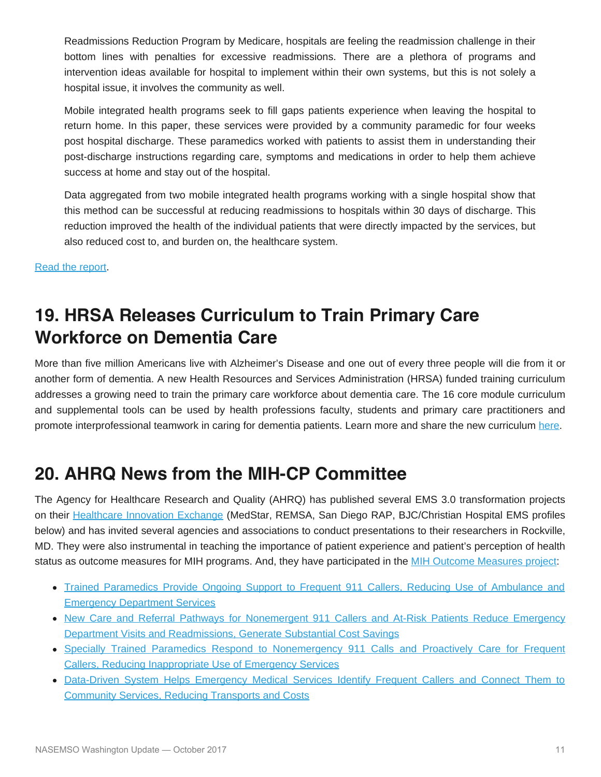Readmissions Reduction Program by Medicare, hospitals are feeling the readmission challenge in their bottom lines with penalties for excessive readmissions. There are a plethora of programs and intervention ideas available for hospital to implement within their own systems, but this is not solely a hospital issue, it involves the community as well.

Mobile integrated health programs seek to fill gaps patients experience when leaving the hospital to return home. In this paper, these services were provided by a community paramedic for four weeks post hospital discharge. These paramedics worked with patients to assist them in understanding their post-discharge instructions regarding care, symptoms and medications in order to help them achieve success at home and stay out of the hospital.

Data aggregated from two mobile integrated health programs working with a single hospital show that this method can be successful at reducing readmissions to hospitals within 30 days of discharge. This reduction improved the health of the individual patients that were directly impacted by the services, but also reduced cost to, and burden on, the healthcare system.

[Read the report.](http://www.medstar911.org/Websites/medstar911/images/Health Insight Oregon MIH Evaluation.pdf)

## **19. HRSA Releases Curriculum to Train Primary Care Workforce on Dementia Care**

More than five million Americans live with Alzheimer's Disease and one out of every three people will die from it or another form of dementia. A new Health Resources and Services Administration (HRSA) funded training curriculum addresses a growing need to train the primary care workforce about dementia care. The 16 core module curriculum and supplemental tools can be used by health professions faculty, students and primary care practitioners and promote interprofessional teamwork in caring for dementia patients. Learn more and share the new curriculum [here](https://bhw.hrsa.gov/grants/geriatrics/alzheimers-curriculum).

## **20. AHRQ News from the MIH-CP Committee**

The Agency for Healthcare Research and Quality (AHRQ) has published several EMS 3.0 transformation projects on their [Healthcare Innovation Exchange](https://innovations.ahrq.gov/) (MedStar, REMSA, San Diego RAP, BJC/Christian Hospital EMS profiles below) and has invited several agencies and associations to conduct presentations to their researchers in Rockville, MD. They were also instrumental in teaching the importance of patient experience and patient's perception of health status as outcome measures for MIH programs. And, they have participated in the [MIH Outcome Measures project](http://www.naemt.org/2016/MIH-CP/mih-cp-toolkit):

- [Trained Paramedics Provide Ongoing Support to Frequent 911 Callers, Reducing Use of Ambulance and](https://innovations.ahrq.gov/profiles/trained-paramedics-provide-ongoing-support-frequent-911-callers-reducing-use-ambulance-and) [Emergency Department Services](https://innovations.ahrq.gov/profiles/trained-paramedics-provide-ongoing-support-frequent-911-callers-reducing-use-ambulance-and)
- [New Care and Referral Pathways for Nonemergent 911 Callers and At-Risk Patients Reduce Emergency](https://innovations.ahrq.gov/profiles/new-care-and-referral-pathways-nonemergent-911-callers-and-risk-patients-reduce-emergency) [Department Visits and Readmissions, Generate Substantial Cost Savings](https://innovations.ahrq.gov/profiles/new-care-and-referral-pathways-nonemergent-911-callers-and-risk-patients-reduce-emergency)
- [Specially Trained Paramedics Respond to Nonemergency 911 Calls and Proactively Care for Frequent](https://innovations.ahrq.gov/profiles/specially-trained-paramedics-respond-nonemergency-911-calls-and-proactively-care-frequent) [Callers, Reducing Inappropriate Use of Emergency Services](https://innovations.ahrq.gov/profiles/specially-trained-paramedics-respond-nonemergency-911-calls-and-proactively-care-frequent)
- [Data-Driven System Helps Emergency Medical Services Identify Frequent Callers and Connect Them to](https://innovations.ahrq.gov/profiles/data-driven-system-helps-emergency-medical-services-identify-frequent-callers-and-connect) [Community Services, Reducing Transports and Costs](https://innovations.ahrq.gov/profiles/data-driven-system-helps-emergency-medical-services-identify-frequent-callers-and-connect)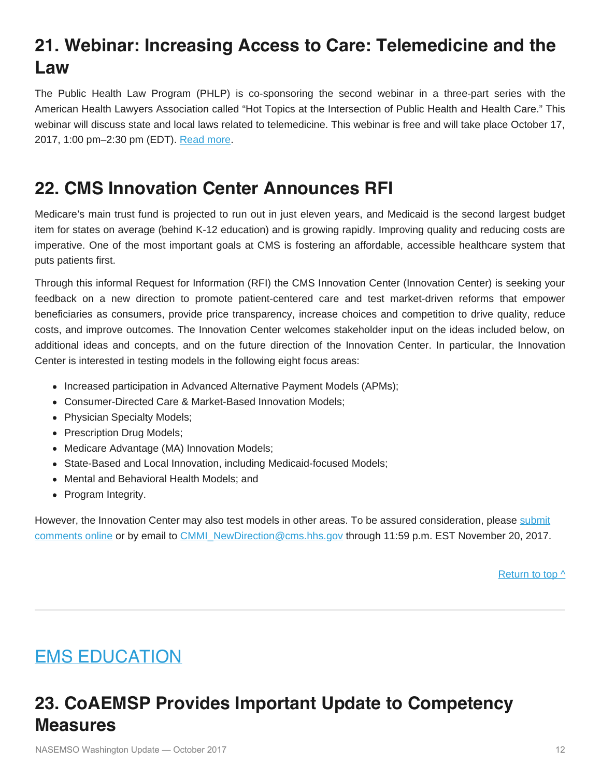# **21. Webinar: Increasing Access to Care: Telemedicine and the Law**

The Public Health Law Program (PHLP) is co-sponsoring the second webinar in a three-part series with the American Health Lawyers Association called "Hot Topics at the Intersection of Public Health and Health Care." This webinar will discuss state and local laws related to telemedicine. This webinar is free and will take place October 17, 2017, 1:00 pm–2:30 pm (EDT). [Read more](https://distancelearning.healthlawyers.org/p/PI-HTI17C).

## **22. CMS Innovation Center Announces RFI**

Medicare's main trust fund is projected to run out in just eleven years, and Medicaid is the second largest budget item for states on average (behind K-12 education) and is growing rapidly. Improving quality and reducing costs are imperative. One of the most important goals at CMS is fostering an affordable, accessible healthcare system that puts patients first.

Through this informal Request for Information (RFI) the CMS Innovation Center (Innovation Center) is seeking your feedback on a new direction to promote patient-centered care and test market-driven reforms that empower beneficiaries as consumers, provide price transparency, increase choices and competition to drive quality, reduce costs, and improve outcomes. The Innovation Center welcomes stakeholder input on the ideas included below, on additional ideas and concepts, and on the future direction of the Innovation Center. In particular, the Innovation Center is interested in testing models in the following eight focus areas:

- Increased participation in Advanced Alternative Payment Models (APMs);
- Consumer-Directed Care & Market-Based Innovation Models;
- Physician Specialty Models;
- Prescription Drug Models;
- Medicare Advantage (MA) Innovation Models;
- State-Based and Local Innovation, including Medicaid-focused Models;
- Mental and Behavioral Health Models; and
- Program Integrity.

However, the Innovation Center may also test models in other areas. To be assured consideration, please [submit](http://links.govdelivery.com/track?type=click&enid=ZWFzPTEmbXNpZD0mYXVpZD0mbWFpbGluZ2lkPTIwMTcwOTIwLjc4Mzg1ODgxJm1lc3NhZ2VpZD1NREItUFJELUJVTC0yMDE3MDkyMC43ODM4NTg4MSZkYXRhYmFzZWlkPTEwMDEmc2VyaWFsPTE4MDk0MjI4JmVtYWlsaWQ9cm9iaW5zb25AbmFzZW1zby5vcmcmdXNlcmlkPXJvYmluc29uQG5hc2Vtc28ub3JnJnRhcmdldGlkPSZmbD0mZXh0cmE9TXVsdGl2YXJpYXRlSWQ9JiYm&&&100&&&https://survey.max.gov/429625) [comments online](http://links.govdelivery.com/track?type=click&enid=ZWFzPTEmbXNpZD0mYXVpZD0mbWFpbGluZ2lkPTIwMTcwOTIwLjc4Mzg1ODgxJm1lc3NhZ2VpZD1NREItUFJELUJVTC0yMDE3MDkyMC43ODM4NTg4MSZkYXRhYmFzZWlkPTEwMDEmc2VyaWFsPTE4MDk0MjI4JmVtYWlsaWQ9cm9iaW5zb25AbmFzZW1zby5vcmcmdXNlcmlkPXJvYmluc29uQG5hc2Vtc28ub3JnJnRhcmdldGlkPSZmbD0mZXh0cmE9TXVsdGl2YXJpYXRlSWQ9JiYm&&&100&&&https://survey.max.gov/429625) or by email to [CMMI\\_NewDirection@cms.hhs.gov](mailto:CMMI_NewDirection@cms.hhs.gov) through 11:59 p.m. EST November 20, 2017.

Return to top  $\wedge$ 

# <span id="page-11-0"></span>EMS EDUCATION

## **23. CoAEMSP Provides Important Update to Competency Measures**

NASEMSO Washington Update — October 2017 12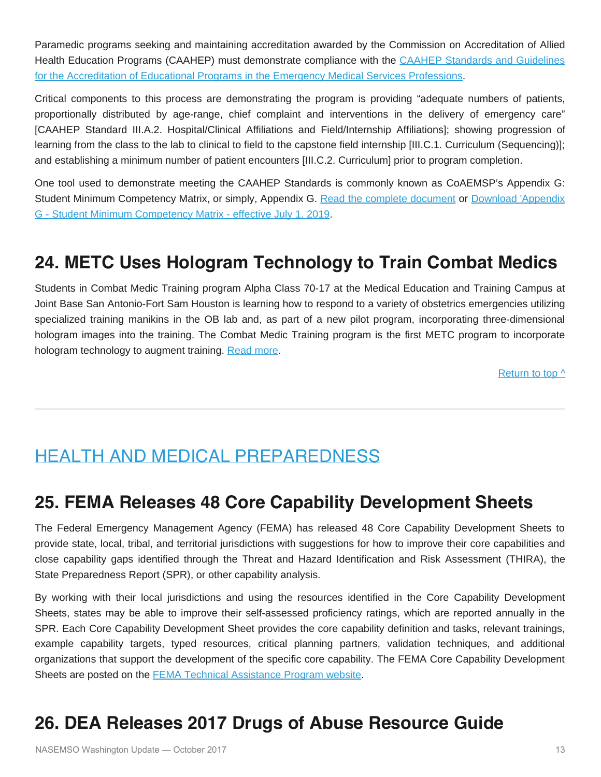Paramedic programs seeking and maintaining accreditation awarded by the Commission on Accreditation of Allied Health Education Programs (CAAHEP) must demonstrate compliance with the [CAAHEP Standards and Guidelines](http://r20.rs6.net/tn.jsp?f=001rKDEMvwVnHIThvrZrLFTRbrngYEiCV_IZF4k22pV-AI_cp4300hVDHgyQOkhJNWgKequy2p1EVvTOwtAqHpQ3bwAGHbM63u2d1ISdWqwcRPbQw1Hu8bGvmpesu_p0AN5_y1KFI8mxtg_7z3vaFkyoESOfH8LMPiSybPVBlM2CsW_voWg9zsS-lIN-XBdCA4x&c=X7lP0m6S9OctGBVOMfpmijTHrCis0Xo8sMNqFjdsUMCCKwOFw075pA==&ch=-QGSdSNukNYoDTv_cH9WoLK4LWxMdbT23Qc5DbNzyUSwPaFDW1fBCg==) [for the Accreditation of Educational Programs in the Emergency Medical Services Professions.](http://r20.rs6.net/tn.jsp?f=001rKDEMvwVnHIThvrZrLFTRbrngYEiCV_IZF4k22pV-AI_cp4300hVDHgyQOkhJNWgKequy2p1EVvTOwtAqHpQ3bwAGHbM63u2d1ISdWqwcRPbQw1Hu8bGvmpesu_p0AN5_y1KFI8mxtg_7z3vaFkyoESOfH8LMPiSybPVBlM2CsW_voWg9zsS-lIN-XBdCA4x&c=X7lP0m6S9OctGBVOMfpmijTHrCis0Xo8sMNqFjdsUMCCKwOFw075pA==&ch=-QGSdSNukNYoDTv_cH9WoLK4LWxMdbT23Qc5DbNzyUSwPaFDW1fBCg==)

Critical components to this process are demonstrating the program is providing "adequate numbers of patients, proportionally distributed by age-range, chief complaint and interventions in the delivery of emergency care" [CAAHEP Standard III.A.2. Hospital/Clinical Affiliations and Field/Internship Affiliations]; showing progression of learning from the class to the lab to clinical to field to the capstone field internship [III.C.1. Curriculum (Sequencing)]; and establishing a minimum number of patient encounters [III.C.2. Curriculum] prior to program completion.

One tool used to demonstrate meeting the CAAHEP Standards is commonly known as CoAEMSP's Appendix G: Student Minimum Competency Matrix, or simply, Appendix G. [Read the complete document](http://r20.rs6.net/tn.jsp?f=001rKDEMvwVnHIThvrZrLFTRbrngYEiCV_IZF4k22pV-AI_cp4300hVDNWz31xOd5y1Hq7jHlaCUaYlmNJvdpJkaxEmWSW7gkWYB25E55EKs1x9SJR2ATXuZ5D8foJzlOqVU7k3N6XIfd5y4N8qAyBpPhCpIEmvan_BlanCnEC5qh1LoGVMTeTXvtXT83ptvTMrFQI7O6yHSDrerW0Js3UNO2q7WXcfPl3xa_q_aRLlSro=&c=X7lP0m6S9OctGBVOMfpmijTHrCis0Xo8sMNqFjdsUMCCKwOFw075pA==&ch=-QGSdSNukNYoDTv_cH9WoLK4LWxMdbT23Qc5DbNzyUSwPaFDW1fBCg==) or [Download 'Appendix](http://r20.rs6.net/tn.jsp?f=001rKDEMvwVnHIThvrZrLFTRbrngYEiCV_IZF4k22pV-AI_cp4300hVDNWz31xOd5y1r4Z5wouqpvd1JMgbyu8JsCFfB-ZDKPrbJb5O4vhvquIW3_XXp43Znz_arlPBCkkUff7dbreOzTUvCe3-3gCQMCdPX51Px7-sX6MkKpfwW0FQo4PrStTKU55Ud7ihCeQT__Z47QvdC7C8zpGBSE3X0UThA0A6NuPiS3rrjaDdbo0=&c=X7lP0m6S9OctGBVOMfpmijTHrCis0Xo8sMNqFjdsUMCCKwOFw075pA==&ch=-QGSdSNukNYoDTv_cH9WoLK4LWxMdbT23Qc5DbNzyUSwPaFDW1fBCg==) [G - Student Minimum Competency Matrix - effective July 1, 2019](http://r20.rs6.net/tn.jsp?f=001rKDEMvwVnHIThvrZrLFTRbrngYEiCV_IZF4k22pV-AI_cp4300hVDNWz31xOd5y1r4Z5wouqpvd1JMgbyu8JsCFfB-ZDKPrbJb5O4vhvquIW3_XXp43Znz_arlPBCkkUff7dbreOzTUvCe3-3gCQMCdPX51Px7-sX6MkKpfwW0FQo4PrStTKU55Ud7ihCeQT__Z47QvdC7C8zpGBSE3X0UThA0A6NuPiS3rrjaDdbo0=&c=X7lP0m6S9OctGBVOMfpmijTHrCis0Xo8sMNqFjdsUMCCKwOFw075pA==&ch=-QGSdSNukNYoDTv_cH9WoLK4LWxMdbT23Qc5DbNzyUSwPaFDW1fBCg==).

## **24. METC Uses Hologram Technology to Train Combat Medics**

Students in Combat Medic Training program Alpha Class 70-17 at the Medical Education and Training Campus at Joint Base San Antonio-Fort Sam Houston is learning how to respond to a variety of obstetrics emergencies utilizing specialized training manikins in the OB lab and, as part of a new pilot program, incorporating three-dimensional hologram images into the training. The Combat Medic Training program is the first METC program to incorporate hologram technology to augment training. [Read more](http://www.jbsa.mil/News/News/Article/1287208/medical-education-and-training-campus-uses-hologram-technology-to-train-combat/).

[Return to top ^](#page-0-0)

## <span id="page-12-0"></span>HEALTH AND MEDICAL PREPAREDNESS

#### **25. FEMA Releases 48 Core Capability Development Sheets**

The Federal Emergency Management Agency (FEMA) has released 48 Core Capability Development Sheets to provide state, local, tribal, and territorial jurisdictions with suggestions for how to improve their core capabilities and close capability gaps identified through the Threat and Hazard Identification and Risk Assessment (THIRA), the State Preparedness Report (SPR), or other capability analysis.

By working with their local jurisdictions and using the resources identified in the Core Capability Development Sheets, states may be able to improve their self-assessed proficiency ratings, which are reported annually in the SPR. Each Core Capability Development Sheet provides the core capability definition and tasks, relevant trainings, example capability targets, typed resources, critical planning partners, validation techniques, and additional organizations that support the development of the specific core capability. The FEMA Core Capability Development Sheets are posted on the **[FEMA Technical Assistance Program website](https://www.fema.gov/fema-technical-assistance-program)**.

## **26. DEA Releases 2017 Drugs of Abuse Resource Guide**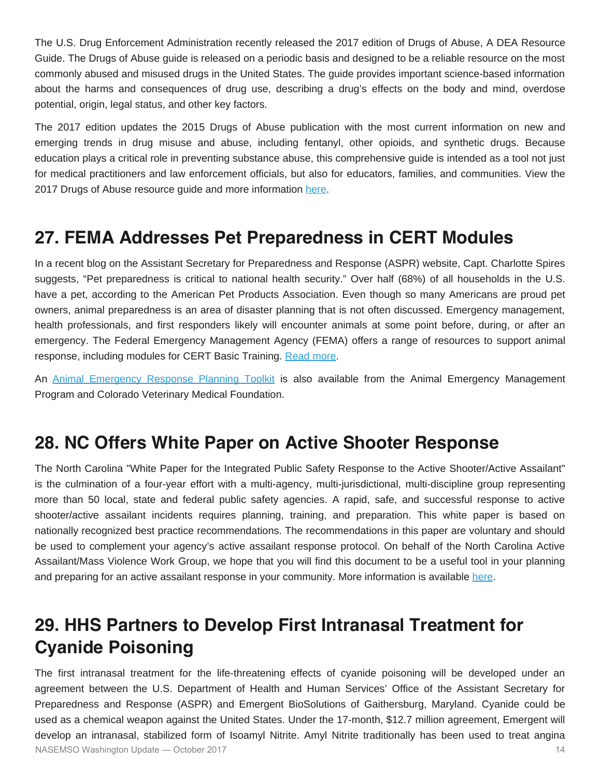The U.S. Drug Enforcement Administration recently released the 2017 edition of Drugs of Abuse, A DEA Resource Guide. The Drugs of Abuse guide is released on a periodic basis and designed to be a reliable resource on the most commonly abused and misused drugs in the United States. The guide provides important science-based information about the harms and consequences of drug use, describing a drug's effects on the body and mind, overdose potential, origin, legal status, and other key factors.

The 2017 edition updates the 2015 Drugs of Abuse publication with the most current information on new and emerging trends in drug misuse and abuse, including fentanyl, other opioids, and synthetic drugs. Because education plays a critical role in preventing substance abuse, this comprehensive guide is intended as a tool not just for medical practitioners and law enforcement officials, but also for educators, families, and communities. View the 2017 Drugs of Abuse resource guide and more information [here.](https://go.usa.gov/xN7Qm)

### **27. FEMA Addresses Pet Preparedness in CERT Modules**

In a recent blog on the Assistant Secretary for Preparedness and Response (ASPR) website, Capt. Charlotte Spires suggests, "Pet preparedness is critical to national health security." Over half (68%) of all households in the U.S. have a pet, according to the American Pet Products Association. Even though so many Americans are proud pet owners, animal preparedness is an area of disaster planning that is not often discussed. Emergency management, health professionals, and first responders likely will encounter animals at some point before, during, or after an emergency. The Federal Emergency Management Agency (FEMA) offers a range of resources to support animal response, including modules for CERT Basic Training. [Read more.](https://www.fema.gov/media-library/assets/documents/27983)

An [Animal Emergency Response Planning Toolkit](http://static1.squarespace.com/static/556f7134e4b0675e4b66298c/t/55b6526fe4b04e39fb636138/1438012015200/animalresponsetoolkit.pdf) is also available from the Animal Emergency Management Program and Colorado Veterinary Medical Foundation.

### **28. NC Offers White Paper on Active Shooter Response**

The North Carolina "White Paper for the Integrated Public Safety Response to the Active Shooter/Active Assailant" is the culmination of a four-year effort with a multi-agency, multi-jurisdictional, multi-discipline group representing more than 50 local, state and federal public safety agencies. A rapid, safe, and successful response to active shooter/active assailant incidents requires planning, training, and preparation. This white paper is based on nationally recognized best practice recommendations. The recommendations in this paper are voluntary and should be used to complement your agency's active assailant response protocol. On behalf of the North Carolina Active Assailant/Mass Violence Work Group, we hope that you will find this document to be a useful tool in your planning and preparing for an active assailant response in your community. More information is available [here](http://www.iaem.com/documents/State-of-North-Carolina-Active-Assailant-White%20Paper-02Aug2017.pdf).

## **29. HHS Partners to Develop First Intranasal Treatment for Cyanide Poisoning**

The first intranasal treatment for the life-threatening effects of cyanide poisoning will be developed under an agreement between the U.S. Department of Health and Human Services' Office of the Assistant Secretary for Preparedness and Response (ASPR) and Emergent BioSolutions of Gaithersburg, Maryland. Cyanide could be used as a chemical weapon against the United States. Under the 17-month, \$12.7 million agreement, Emergent will develop an intranasal, stabilized form of Isoamyl Nitrite. Amyl Nitrite traditionally has been used to treat angina NASEMSO Washington Update — October 2017 14 and the control of the control of the control of the control of the control of the control of the control of the control of the control of the control of the control of the contr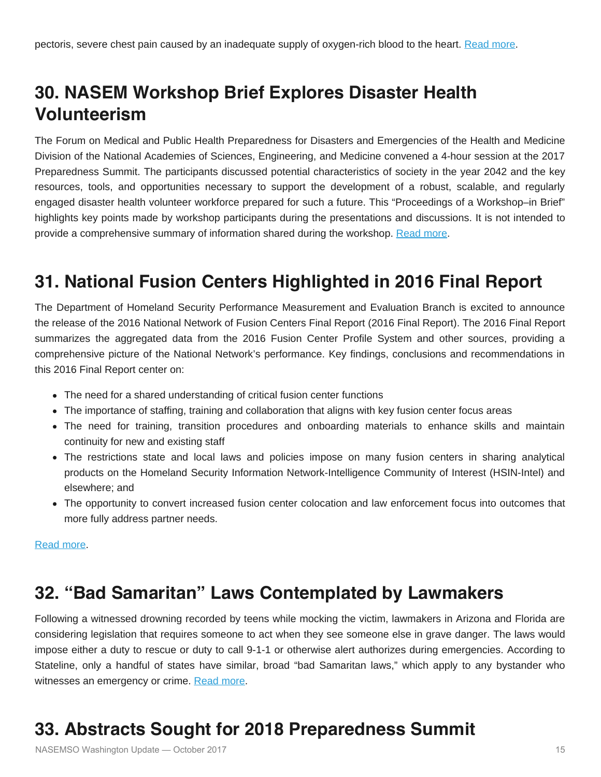## **30. NASEM Workshop Brief Explores Disaster Health Volunteerism**

The Forum on Medical and Public Health Preparedness for Disasters and Emergencies of the Health and Medicine Division of the National Academies of Sciences, Engineering, and Medicine convened a 4-hour session at the 2017 Preparedness Summit. The participants discussed potential characteristics of society in the year 2042 and the key resources, tools, and opportunities necessary to support the development of a robust, scalable, and regularly engaged disaster health volunteer workforce prepared for such a future. This "Proceedings of a Workshop–in Brief" highlights key points made by workshop participants during the presentations and discussions. It is not intended to provide a comprehensive summary of information shared during the workshop. [Read more.](https://www.nap.edu/catalog/24859/preparing-for-the-future-of-disaster-health-volunteerism-proceedings-of)

## **31. National Fusion Centers Highlighted in 2016 Final Report**

The Department of Homeland Security Performance Measurement and Evaluation Branch is excited to announce the release of the 2016 National Network of Fusion Centers Final Report (2016 Final Report). The 2016 Final Report summarizes the aggregated data from the 2016 Fusion Center Profile System and other sources, providing a comprehensive picture of the National Network's performance. Key findings, conclusions and recommendations in this 2016 Final Report center on:

- The need for a shared understanding of critical fusion center functions
- The importance of staffing, training and collaboration that aligns with key fusion center focus areas
- The need for training, transition procedures and onboarding materials to enhance skills and maintain continuity for new and existing staff
- The restrictions state and local laws and policies impose on many fusion centers in sharing analytical products on the Homeland Security Information Network-Intelligence Community of Interest (HSIN-Intel) and elsewhere; and
- The opportunity to convert increased fusion center colocation and law enforcement focus into outcomes that more fully address partner needs.

[Read more.](https://www.dhs.gov/fusion-center-annual-assessment-final-reports)

## **32. "Bad Samaritan" Laws Contemplated by Lawmakers**

Following a witnessed drowning recorded by teens while mocking the victim, lawmakers in Arizona and Florida are considering legislation that requires someone to act when they see someone else in grave danger. The laws would impose either a duty to rescue or duty to call 9-1-1 or otherwise alert authorizes during emergencies. According to Stateline, only a handful of states have similar, broad "bad Samaritan laws," which apply to any bystander who witnesses an emergency or crime. [Read more.](http://www.pewtrusts.org/en/research-and-analysis/blogs/stateline/2017/09/19/why-its-hard-to-punish-bad-samaritans)

# **33. Abstracts Sought for 2018 Preparedness Summit**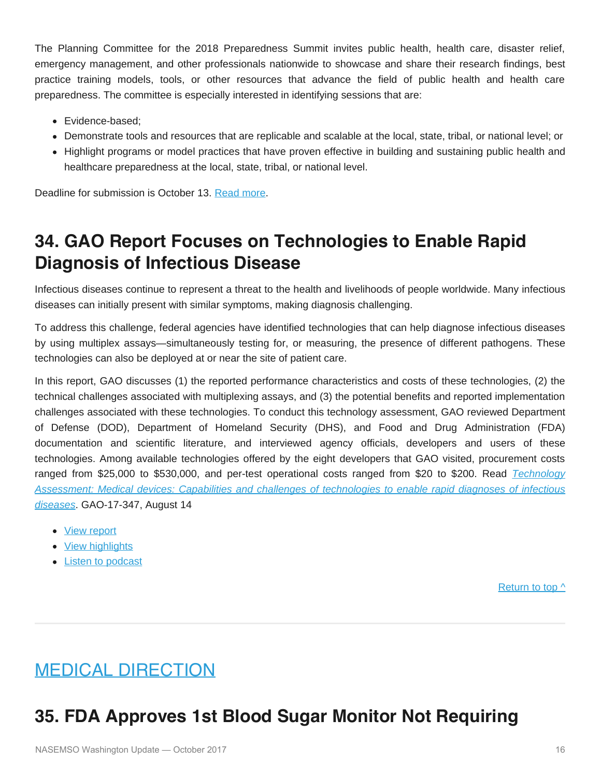The Planning Committee for the 2018 Preparedness Summit invites public health, health care, disaster relief, emergency management, and other professionals nationwide to showcase and share their research findings, best practice training models, tools, or other resources that advance the field of public health and health care preparedness. The committee is especially interested in identifying sessions that are:

- Evidence-based:
- Demonstrate tools and resources that are replicable and scalable at the local, state, tribal, or national level; or
- Highlight programs or model practices that have proven effective in building and sustaining public health and healthcare preparedness at the local, state, tribal, or national level.

Deadline for submission is October 13. [Read more.](http://preparednesssummit.org/abstract-instructions/)

## **34. GAO Report Focuses on Technologies to Enable Rapid Diagnosis of Infectious Disease**

Infectious diseases continue to represent a threat to the health and livelihoods of people worldwide. Many infectious diseases can initially present with similar symptoms, making diagnosis challenging.

To address this challenge, federal agencies have identified technologies that can help diagnose infectious diseases by using multiplex assays—simultaneously testing for, or measuring, the presence of different pathogens. These technologies can also be deployed at or near the site of patient care.

In this report, GAO discusses (1) the reported performance characteristics and costs of these technologies, (2) the technical challenges associated with multiplexing assays, and (3) the potential benefits and reported implementation challenges associated with these technologies. To conduct this technology assessment, GAO reviewed Department of Defense (DOD), Department of Homeland Security (DHS), and Food and Drug Administration (FDA) documentation and scientific literature, and interviewed agency officials, developers and users of these technologies. Among available technologies offered by the eight developers that GAO visited, procurement costs ranged from \$25,000 to \$530,000, and per-test operational costs ranged from \$20 to \$200. Read *[Technology](http://www.gao.gov/products/GAO-17-347) [Assessment: Medical devices: Capabilities and challenges of technologies to enable rapid diagnoses of infectious](http://www.gao.gov/products/GAO-17-347) [diseases](http://www.gao.gov/products/GAO-17-347)*. GAO-17-347, August 14

- [View report](http://www.gao.gov/products/GAO-17-347)
- [View highlights](http://www.gao.gov/assets/690/686536.pdf)
- [Listen to podcast](http://www.gao.gov/multimedia/podcasts/687053)

[Return to top ^](#page-0-0)

## <span id="page-15-0"></span>MEDICAL DIRECTION

## **35. FDA Approves 1st Blood Sugar Monitor Not Requiring**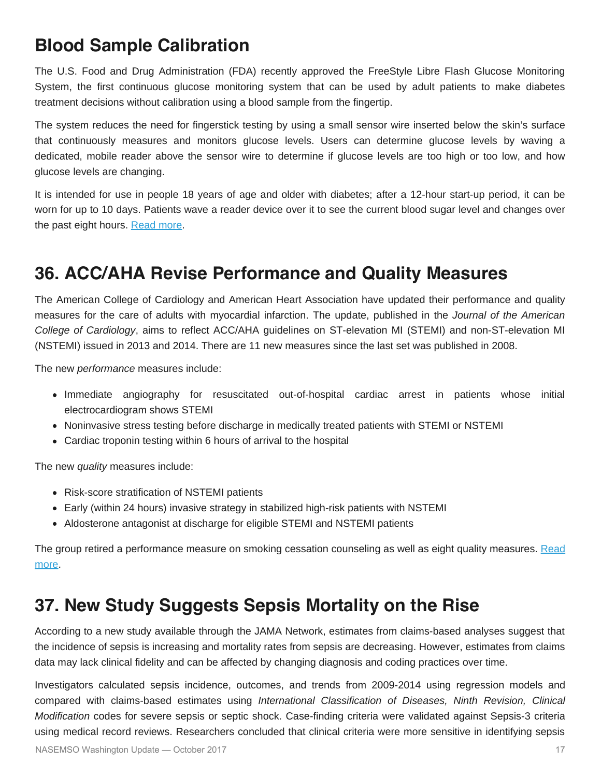## **Blood Sample Calibration**

The U.S. Food and Drug Administration (FDA) recently approved the FreeStyle Libre Flash Glucose Monitoring System, the first continuous glucose monitoring system that can be used by adult patients to make diabetes treatment decisions without calibration using a blood sample from the fingertip.

The system reduces the need for fingerstick testing by using a small sensor wire inserted below the skin's surface that continuously measures and monitors glucose levels. Users can determine glucose levels by waving a dedicated, mobile reader above the sensor wire to determine if glucose levels are too high or too low, and how glucose levels are changing.

It is intended for use in people 18 years of age and older with diabetes; after a 12-hour start-up period, it can be worn for up to 10 days. Patients wave a reader device over it to see the current blood sugar level and changes over the past eight hours. [Read more](https://www.fda.gov/NewsEvents/Newsroom/PressAnnouncements/ucm577890.htm).

## **36. ACC/AHA Revise Performance and Quality Measures**

The American College of Cardiology and American Heart Association have updated their performance and quality measures for the care of adults with myocardial infarction. The update, published in the *Journal of the American College of Cardiology*, aims to reflect ACC/AHA guidelines on ST-elevation MI (STEMI) and non-ST-elevation MI (NSTEMI) issued in 2013 and 2014. There are 11 new measures since the last set was published in 2008.

The new *performance* measures include:

- Immediate angiography for resuscitated out-of-hospital cardiac arrest in patients whose initial electrocardiogram shows STEMI
- Noninvasive stress testing before discharge in medically treated patients with STEMI or NSTEMI
- Cardiac troponin testing within 6 hours of arrival to the hospital

The new *quality* measures include:

- Risk-score stratification of NSTEMI patients
- Early (within 24 hours) invasive strategy in stabilized high-risk patients with NSTEMI
- Aldosterone antagonist at discharge for eligible STEMI and NSTEMI patients

The group retired a performance measure on smoking cessation counseling as well as eight quality measures. [Read](http://www.onlinejacc.org/content/early/2017/09/14/j.jacc.2017.06.032) [more](http://www.onlinejacc.org/content/early/2017/09/14/j.jacc.2017.06.032).

### **37. New Study Suggests Sepsis Mortality on the Rise**

According to a new study available through the JAMA Network, estimates from claims-based analyses suggest that the incidence of sepsis is increasing and mortality rates from sepsis are decreasing. However, estimates from claims data may lack clinical fidelity and can be affected by changing diagnosis and coding practices over time.

Investigators calculated sepsis incidence, outcomes, and trends from 2009-2014 using regression models and compared with claims-based estimates using *International Classification of Diseases, Ninth Revision, Clinical Modification* codes for severe sepsis or septic shock. Case-finding criteria were validated against Sepsis-3 criteria using medical record reviews. Researchers concluded that clinical criteria were more sensitive in identifying sepsis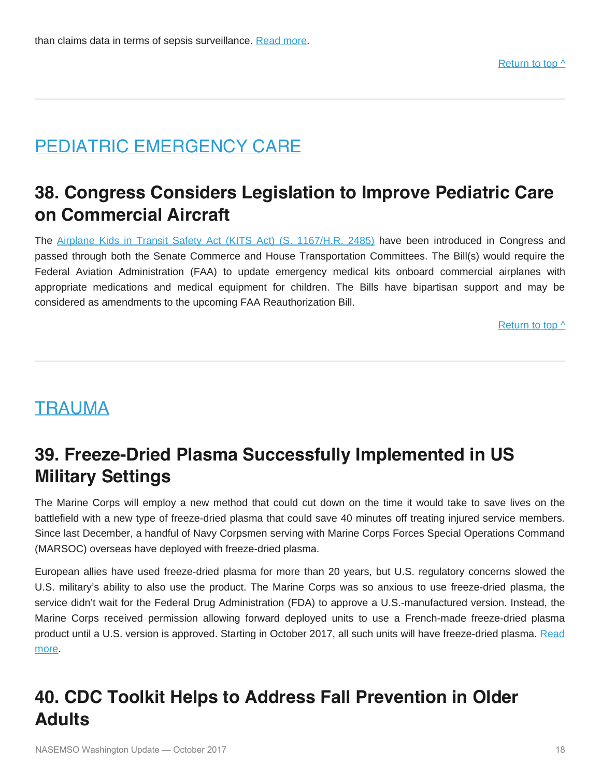## <span id="page-17-0"></span>PEDIATRIC EMERGENCY CARE

## **38. Congress Considers Legislation to Improve Pediatric Care on Commercial Aircraft**

The [Airplane Kids in Transit Safety Act \(KITS Act\) \(S. 1167/H.R. 2485\)](https://www.congress.gov/bill/115th-congress/senate-bill/1167) have been introduced in Congress and passed through both the Senate Commerce and House Transportation Committees. The Bill(s) would require the Federal Aviation Administration (FAA) to update emergency medical kits onboard commercial airplanes with appropriate medications and medical equipment for children. The Bills have bipartisan support and may be considered as amendments to the upcoming FAA Reauthorization Bill.

[Return to top ^](#page-0-0)

### <span id="page-17-1"></span>TRAUMA

## **39. Freeze-Dried Plasma Successfully Implemented in US Military Settings**

The Marine Corps will employ a new method that could cut down on the time it would take to save lives on the battlefield with a new type of freeze-dried plasma that could save 40 minutes off treating injured service members. Since last December, a handful of Navy Corpsmen serving with Marine Corps Forces Special Operations Command (MARSOC) overseas have deployed with freeze-dried plasma.

European allies have used freeze-dried plasma for more than 20 years, but U.S. regulatory concerns slowed the U.S. military's ability to also use the product. The Marine Corps was so anxious to use freeze-dried plasma, the service didn't wait for the Federal Drug Administration (FDA) to approve a U.S.-manufactured version. Instead, the Marine Corps received permission allowing forward deployed units to use a French-made freeze-dried plasma product until a U.S. version is approved. Starting in October 2017, all such units will have freeze-dried plasma. [Read](http://www.marines.mil/News/News-Display/Article/1302663/rugged-blood-for-rugged-men-freeze-dried-plasma-saves-sof-life/) [more](http://www.marines.mil/News/News-Display/Article/1302663/rugged-blood-for-rugged-men-freeze-dried-plasma-saves-sof-life/).

## **40. CDC Toolkit Helps to Address Fall Prevention in Older Adults**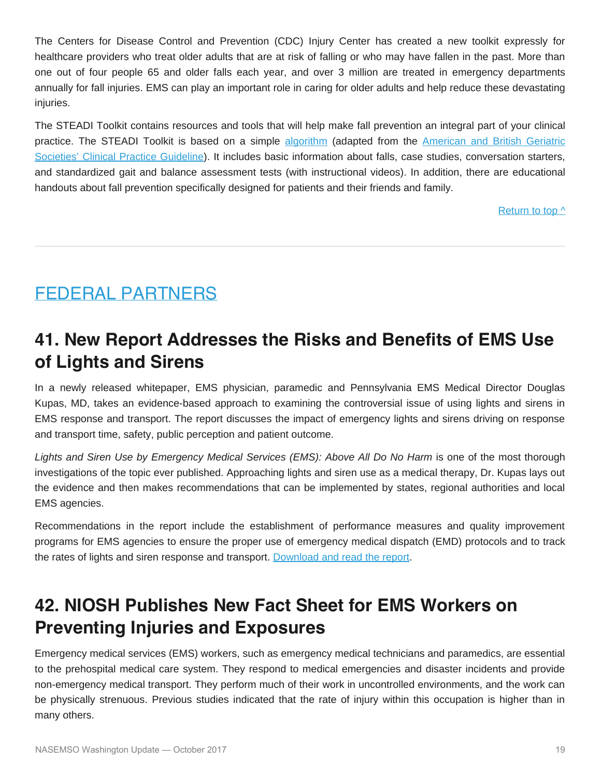The Centers for Disease Control and Prevention (CDC) Injury Center has created a new toolkit expressly for healthcare providers who treat older adults that are at risk of falling or who may have fallen in the past. More than one out of four people 65 and older falls each year, and over 3 million are treated in emergency departments annually for fall injuries. EMS can play an important role in caring for older adults and help reduce these devastating injuries.

The STEADI Toolkit contains resources and tools that will help make fall prevention an integral part of your clinical practice. The STEADI Toolkit is based on a simple [algorithm](https://www.cdc.gov/steadi/pdf/STEADI-Algorithm-a.pdf) (adapted from the [American and British Geriatric](http://www.americangeriatrics.org/health_care_professionals/clinical_practice/clinical_guidelines_recommendations/prevention_of_falls_summary_of_recommendations) [Societies' Clinical Practice Guideline\)](http://www.americangeriatrics.org/health_care_professionals/clinical_practice/clinical_guidelines_recommendations/prevention_of_falls_summary_of_recommendations). It includes basic information about falls, case studies, conversation starters, and standardized gait and balance assessment tests (with instructional videos). In addition, there are educational handouts about fall prevention specifically designed for patients and their friends and family.

[Return to top ^](#page-0-0)

## <span id="page-18-0"></span>FEDERAL PARTNERS

## **41. New Report Addresses the Risks and Benefits of EMS Use of Lights and Sirens**

In a newly released whitepaper, EMS physician, paramedic and Pennsylvania EMS Medical Director Douglas Kupas, MD, takes an evidence-based approach to examining the controversial issue of using lights and sirens in EMS response and transport. The report discusses the impact of emergency lights and sirens driving on response and transport time, safety, public perception and patient outcome.

*Lights and Siren Use by Emergency Medical Services (EMS): Above All Do No Harm* is one of the most thorough investigations of the topic ever published. Approaching lights and siren use as a medical therapy, Dr. Kupas lays out the evidence and then makes recommendations that can be implemented by states, regional authorities and local EMS agencies.

Recommendations in the report include the establishment of performance measures and quality improvement programs for EMS agencies to ensure the proper use of emergency medical dispatch (EMD) protocols and to track the rates of lights and siren response and transport. [Download and read the report](https://www.ems.gov/pdf/Lights_and_Sirens_Use_by_EMS_May_2017.pdf).

## **42. NIOSH Publishes New Fact Sheet for EMS Workers on Preventing Injuries and Exposures**

Emergency medical services (EMS) workers, such as emergency medical technicians and paramedics, are essential to the prehospital medical care system. They respond to medical emergencies and disaster incidents and provide non-emergency medical transport. They perform much of their work in uncontrolled environments, and the work can be physically strenuous. Previous studies indicated that the rate of injury within this occupation is higher than in many others.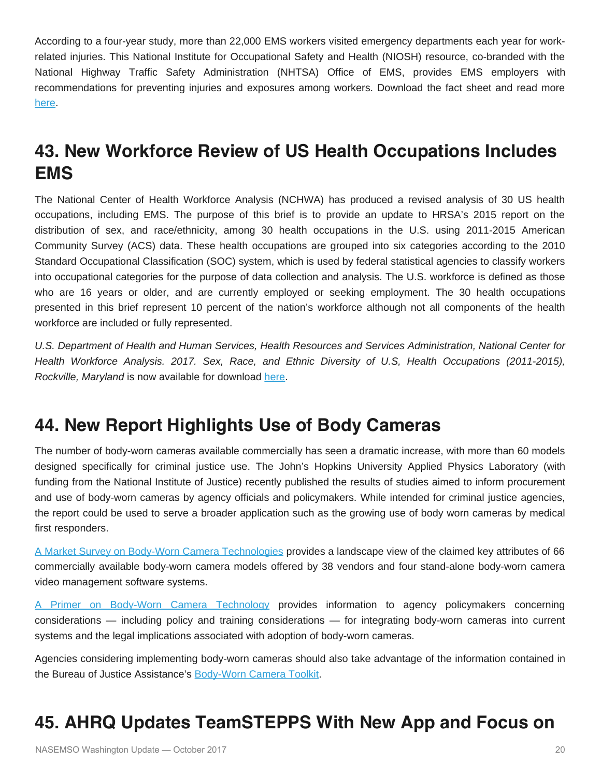According to a four-year study, more than 22,000 EMS workers visited emergency departments each year for workrelated injuries. This National Institute for Occupational Safety and Health (NIOSH) resource, co-branded with the National Highway Traffic Safety Administration (NHTSA) Office of EMS, provides EMS employers with recommendations for preventing injuries and exposures among workers. Download the fact sheet and read more [here.](https://www.cdc.gov/niosh/research-rounds/resroundsv3n3.html#a)

## **43. New Workforce Review of US Health Occupations Includes EMS**

The National Center of Health Workforce Analysis (NCHWA) has produced a revised analysis of 30 US health occupations, including EMS. The purpose of this brief is to provide an update to HRSA's 2015 report on the distribution of sex, and race/ethnicity, among 30 health occupations in the U.S. using 2011-2015 American Community Survey (ACS) data. These health occupations are grouped into six categories according to the 2010 Standard Occupational Classification (SOC) system, which is used by federal statistical agencies to classify workers into occupational categories for the purpose of data collection and analysis. The U.S. workforce is defined as those who are 16 years or older, and are currently employed or seeking employment. The 30 health occupations presented in this brief represent 10 percent of the nation's workforce although not all components of the health workforce are included or fully represented.

*U.S. Department of Health and Human Services, Health Resources and Services Administration, National Center for Health Workforce Analysis. 2017. Sex, Race, and Ethnic Diversity of U.S, Health Occupations (2011-2015), Rockville, Maryland* is now available for download [here.](https://bhw.hrsa.gov/sites/default/files/bhw/nchwa/diversityushealthoccupations.pdf)

## **44. New Report Highlights Use of Body Cameras**

The number of body-worn cameras available commercially has seen a dramatic increase, with more than 60 models designed specifically for criminal justice use. The John's Hopkins University Applied Physics Laboratory (with funding from the National Institute of Justice) recently published the results of studies aimed to inform procurement and use of body-worn cameras by agency officials and policymakers. While intended for criminal justice agencies, the report could be used to serve a broader application such as the growing use of body worn cameras by medical first responders.

[A Market Survey on Body-Worn Camera Technologies](https://www.ncjrs.gov/pdffiles1/nij/grants/250381.pdf) provides a landscape view of the claimed key attributes of 66 commercially available body-worn camera models offered by 38 vendors and four stand-alone body-worn camera video management software systems.

[A Primer on Body-Worn Camera Technology](https://www.ncjrs.gov/pdffiles1/nij/grants/250382.pdf) provides information to agency policymakers concerning considerations — including policy and training considerations — for integrating body-worn cameras into current systems and the legal implications associated with adoption of body-worn cameras.

Agencies considering implementing body-worn cameras should also take advantage of the information contained in the Bureau of Justice Assistance's [Body-Worn Camera Toolkit](https://www.bja.gov/bwc/).

## **45. AHRQ Updates TeamSTEPPS With New App and Focus on**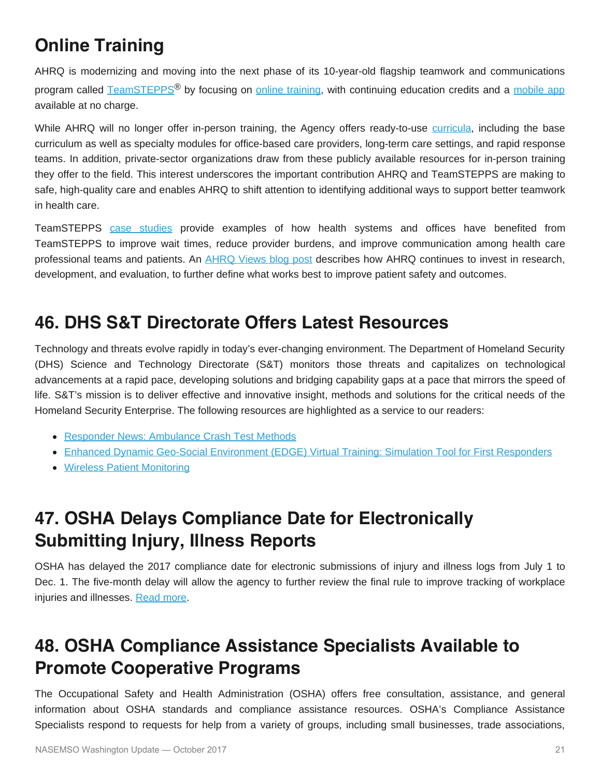# **Online Training**

AHRQ is modernizing and moving into the next phase of its 10-year-old flagship teamwork and communications program called [TeamSTEPPS](http://links.govdelivery.com/track?type=click&enid=ZWFzPTEmbWFpbGluZ2lkPTIwMTcwOTI2Ljc4NjQ1NTQxJm1lc3NhZ2VpZD1NREItUFJELUJVTC0yMDE3MDkyNi43ODY0NTU0MSZkYXRhYmFzZWlkPTEwMDEmc2VyaWFsPTE3NDUzMjI4JmVtYWlsaWQ9a3JvYmluc29uQGFzbWlpLm5ldCZ1c2VyaWQ9a3JvYmluc29uQGFzbWlpLm5ldCZmbD0mZXh0cmE9TXVsdGl2YXJpYXRlSWQ9JiYm&&&100&&&https://www.ahrq.gov/teamstepps/index.html)<sup>®</sup> by focusing on [online training,](http://links.govdelivery.com/track?type=click&enid=ZWFzPTEmbWFpbGluZ2lkPTIwMTcwOTI2Ljc4NjQ1NTQxJm1lc3NhZ2VpZD1NREItUFJELUJVTC0yMDE3MDkyNi43ODY0NTU0MSZkYXRhYmFzZWlkPTEwMDEmc2VyaWFsPTE3NDUzMjI4JmVtYWlsaWQ9a3JvYmluc29uQGFzbWlpLm5ldCZ1c2VyaWQ9a3JvYmluc29uQGFzbWlpLm5ldCZmbD0mZXh0cmE9TXVsdGl2YXJpYXRlSWQ9JiYm&&&101&&&https://tslms.org/login/index.php) with continuing education credits and a [mobile app](http://links.govdelivery.com/track?type=click&enid=ZWFzPTEmbWFpbGluZ2lkPTIwMTcwOTI2Ljc4NjQ1NTQxJm1lc3NhZ2VpZD1NREItUFJELUJVTC0yMDE3MDkyNi43ODY0NTU0MSZkYXRhYmFzZWlkPTEwMDEmc2VyaWFsPTE3NDUzMjI4JmVtYWlsaWQ9a3JvYmluc29uQGFzbWlpLm5ldCZ1c2VyaWQ9a3JvYmluc29uQGFzbWlpLm5ldCZmbD0mZXh0cmE9TXVsdGl2YXJpYXRlSWQ9JiYm&&&102&&&https://www.ahrq.gov/teamstepps/instructor/essentials/pocketguideapp.html) available at no charge.

While AHRQ will no longer offer in-person training, the Agency offers ready-to-use [curricula](http://links.govdelivery.com/track?type=click&enid=ZWFzPTEmbWFpbGluZ2lkPTIwMTcwOTI2Ljc4NjQ1NTQxJm1lc3NhZ2VpZD1NREItUFJELUJVTC0yMDE3MDkyNi43ODY0NTU0MSZkYXRhYmFzZWlkPTEwMDEmc2VyaWFsPTE3NDUzMjI4JmVtYWlsaWQ9a3JvYmluc29uQGFzbWlpLm5ldCZ1c2VyaWQ9a3JvYmluc29uQGFzbWlpLm5ldCZmbD0mZXh0cmE9TXVsdGl2YXJpYXRlSWQ9JiYm&&&103&&&https://www.ahrq.gov/teamstepps/instructor/index.html), including the base curriculum as well as specialty modules for office-based care providers, long-term care settings, and rapid response teams. In addition, private-sector organizations draw from these publicly available resources for in-person training they offer to the field. This interest underscores the important contribution AHRQ and TeamSTEPPS are making to safe, high-quality care and enables AHRQ to shift attention to identifying additional ways to support better teamwork in health care.

TeamSTEPPS [case studies](http://links.govdelivery.com/track?type=click&enid=ZWFzPTEmbWFpbGluZ2lkPTIwMTcwOTI2Ljc4NjQ1NTQxJm1lc3NhZ2VpZD1NREItUFJELUJVTC0yMDE3MDkyNi43ODY0NTU0MSZkYXRhYmFzZWlkPTEwMDEmc2VyaWFsPTE3NDUzMjI4JmVtYWlsaWQ9a3JvYmluc29uQGFzbWlpLm5ldCZ1c2VyaWQ9a3JvYmluc29uQGFzbWlpLm5ldCZmbD0mZXh0cmE9TXVsdGl2YXJpYXRlSWQ9JiYm&&&104&&&https://www.ahrq.gov/policymakers/case-studies/index.html?f%5B0%5D=field_case_study_product%3A13941) provide examples of how health systems and offices have benefited from TeamSTEPPS to improve wait times, reduce provider burdens, and improve communication among health care professional teams and patients. An **[AHRQ Views blog post](http://links.govdelivery.com/track?type=click&enid=ZWFzPTEmbWFpbGluZ2lkPTIwMTcwOTI2Ljc4NjQ1NTQxJm1lc3NhZ2VpZD1NREItUFJELUJVTC0yMDE3MDkyNi43ODY0NTU0MSZkYXRhYmFzZWlkPTEwMDEmc2VyaWFsPTE3NDUzMjI4JmVtYWlsaWQ9a3JvYmluc29uQGFzbWlpLm5ldCZ1c2VyaWQ9a3JvYmluc29uQGFzbWlpLm5ldCZmbD0mZXh0cmE9TXVsdGl2YXJpYXRlSWQ9JiYm&&&105&&&https://www.ahrq.gov/news/blog/ahrqviews/a-new-era-for-teamstepps.html) describes how AHRQ** continues to invest in research, development, and evaluation, to further define what works best to improve patient safety and outcomes.

## **46. DHS S&T Directorate Offers Latest Resources**

Technology and threats evolve rapidly in today's ever-changing environment. The Department of Homeland Security (DHS) Science and Technology Directorate (S&T) monitors those threats and capitalizes on technological advancements at a rapid pace, developing solutions and bridging capability gaps at a pace that mirrors the speed of life. S&T's mission is to deliver effective and innovative insight, methods and solutions for the critical needs of the Homeland Security Enterprise. The following resources are highlighted as a service to our readers:

- **[Responder News: Ambulance Crash Test Methods](https://www.dhs.gov/science-and-technology/responder-news-ambulance-crash-test-methods)**
- [Enhanced Dynamic Geo-Social Environment \(EDGE\) Virtual Training: Simulation Tool for First Responders](https://www.dhs.gov/sites/default/files/publications/R-Tech_EDGE-Virtual-Training-FactSheet-170621-v2-508.pdf)
- [Wireless Patient Monitoring](https://www.dhs.gov/sites/default/files/publications/Wireless-Patient-Monitoring-One-Pager-FINAL-0616.pdf)

## **47. OSHA Delays Compliance Date for Electronically Submitting Injury, Illness Reports**

OSHA has delayed the 2017 compliance date for electronic submissions of injury and illness logs from July 1 to Dec. 1. The five-month delay will allow the agency to further review the final rule to improve tracking of workplace injuries and illnesses. [Read more](https://www.osha.gov/recordkeeping/finalrule/index.html).

## **48. OSHA Compliance Assistance Specialists Available to Promote Cooperative Programs**

The Occupational Safety and Health Administration (OSHA) offers free consultation, assistance, and general information about OSHA standards and compliance assistance resources. OSHA's Compliance Assistance Specialists respond to requests for help from a variety of groups, including small businesses, trade associations,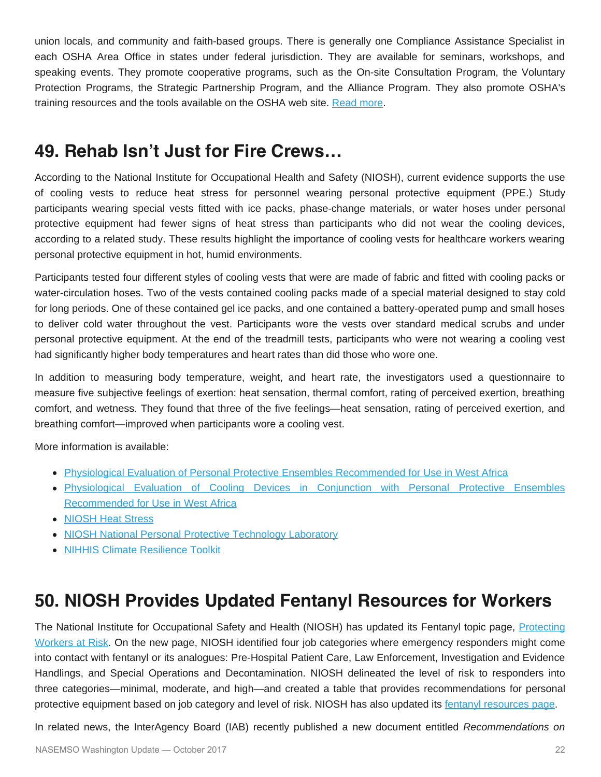union locals, and community and faith-based groups. There is generally one Compliance Assistance Specialist in each OSHA Area Office in states under federal jurisdiction. They are available for seminars, workshops, and speaking events. They promote cooperative programs, such as the On-site Consultation Program, the Voluntary Protection Programs, the Strategic Partnership Program, and the Alliance Program. They also promote OSHA's training resources and the tools available on the OSHA web site. [Read more](https://www.osha.gov/dcsp/compliance_assistance/cas.html).

### **49. Rehab Isn't Just for Fire Crews…**

According to the National Institute for Occupational Health and Safety (NIOSH), current evidence supports the use of cooling vests to reduce heat stress for personnel wearing personal protective equipment (PPE.) Study participants wearing special vests fitted with ice packs, phase-change materials, or water hoses under personal protective equipment had fewer signs of heat stress than participants who did not wear the cooling devices, according to a related study. These results highlight the importance of cooling vests for healthcare workers wearing personal protective equipment in hot, humid environments.

Participants tested four different styles of cooling vests that were are made of fabric and fitted with cooling packs or water-circulation hoses. Two of the vests contained cooling packs made of a special material designed to stay cold for long periods. One of these contained gel ice packs, and one contained a battery-operated pump and small hoses to deliver cold water throughout the vest. Participants wore the vests over standard medical scrubs and under personal protective equipment. At the end of the treadmill tests, participants who were not wearing a cooling vest had significantly higher body temperatures and heart rates than did those who wore one.

In addition to measuring body temperature, weight, and heart rate, the investigators used a questionnaire to measure five subjective feelings of exertion: heat sensation, thermal comfort, rating of perceived exertion, breathing comfort, and wetness. They found that three of the five feelings—heat sensation, rating of perceived exertion, and breathing comfort—improved when participants wore a cooling vest.

More information is available:

- [Physiological Evaluation of Personal Protective Ensembles Recommended for Use in West Africa](https://www.cambridge.org/core/services/aop-cambridge-core/content/view/6ADC2F30668469ED218A5F07C81287C4/S1935789317000131a.pdf/physiological_evaluation_of_personal_protective_ensembles_recommended_for_use_in_west_africa.pdf)
- [Physiological Evaluation of Cooling Devices in Conjunction with Personal Protective Ensembles](https://www.cambridge.org/core/journals/disaster-medicine-and-public-health-preparedness/article/physiological-evaluation-of-cooling-devices-in-conjunction-with-personal-protective-ensembles-recommended-for-use-in-west-africa/0BACB0B217F3F2FE57D67E805CB0FDB8) [Recommended for Use in West Africa](https://www.cambridge.org/core/journals/disaster-medicine-and-public-health-preparedness/article/physiological-evaluation-of-cooling-devices-in-conjunction-with-personal-protective-ensembles-recommended-for-use-in-west-africa/0BACB0B217F3F2FE57D67E805CB0FDB8)
- **[NIOSH Heat Stress](https://www.cdc.gov/niosh/topics/heatstress/default.html)**
- [NIOSH National Personal Protective Technology Laboratory](https://www.cdc.gov/niosh/npptl/)
- [NIHHIS Climate Resilience Toolkit](https://toolkit.climate.gov/topics/human-health/extreme-heat%E2%80%94nihhis/nihhis-quick-start-guide#emergency)

## **50. NIOSH Provides Updated Fentanyl Resources for Workers**

The National Institute for Occupational Safety and Health (NIOSH) has updated its Fentanyl topic page, [Protecting](http://links.govdelivery.com/track?type=click&enid=ZWFzPTEmbWFpbGluZ2lkPTIwMTcwOTA1Ljc3NzEwNTcxJm1lc3NhZ2VpZD1NREItUFJELUJVTC0yMDE3MDkwNS43NzcxMDU3MSZkYXRhYmFzZWlkPTEwMDEmc2VyaWFsPTE3MTU0MzgyJmVtYWlsaWQ9YWx0ZXJAbmFzZW1zby5vcmcmdXNlcmlkPWFsdGVyQG5hc2Vtc28ub3JnJmZsPSZleHRyYT1NdWx0aXZhcmlhdGVJZD0mJiY=&&&106&&&https://www.cdc.gov/niosh/topics/fentanyl/risk.html) [Workers at Risk](http://links.govdelivery.com/track?type=click&enid=ZWFzPTEmbWFpbGluZ2lkPTIwMTcwOTA1Ljc3NzEwNTcxJm1lc3NhZ2VpZD1NREItUFJELUJVTC0yMDE3MDkwNS43NzcxMDU3MSZkYXRhYmFzZWlkPTEwMDEmc2VyaWFsPTE3MTU0MzgyJmVtYWlsaWQ9YWx0ZXJAbmFzZW1zby5vcmcmdXNlcmlkPWFsdGVyQG5hc2Vtc28ub3JnJmZsPSZleHRyYT1NdWx0aXZhcmlhdGVJZD0mJiY=&&&106&&&https://www.cdc.gov/niosh/topics/fentanyl/risk.html). On the new page, NIOSH identified four job categories where emergency responders might come into contact with fentanyl or its analogues: Pre-Hospital Patient Care, Law Enforcement, Investigation and Evidence Handlings, and Special Operations and Decontamination. NIOSH delineated the level of risk to responders into three categories—minimal, moderate, and high—and created a table that provides recommendations for personal protective equipment based on job category and level of risk. NIOSH has also updated its [fentanyl resources page](http://links.govdelivery.com/track?type=click&enid=ZWFzPTEmbWFpbGluZ2lkPTIwMTcwOTA1Ljc3NzEwNTcxJm1lc3NhZ2VpZD1NREItUFJELUJVTC0yMDE3MDkwNS43NzcxMDU3MSZkYXRhYmFzZWlkPTEwMDEmc2VyaWFsPTE3MTU0MzgyJmVtYWlsaWQ9YWx0ZXJAbmFzZW1zby5vcmcmdXNlcmlkPWFsdGVyQG5hc2Vtc28ub3JnJmZsPSZleHRyYT1NdWx0aXZhcmlhdGVJZD0mJiY=&&&107&&&https://www.cdc.gov/niosh/topics/fentanyl/resources.html).

In related news, the InterAgency Board (IAB) recently published a new document entitled *Recommendations on*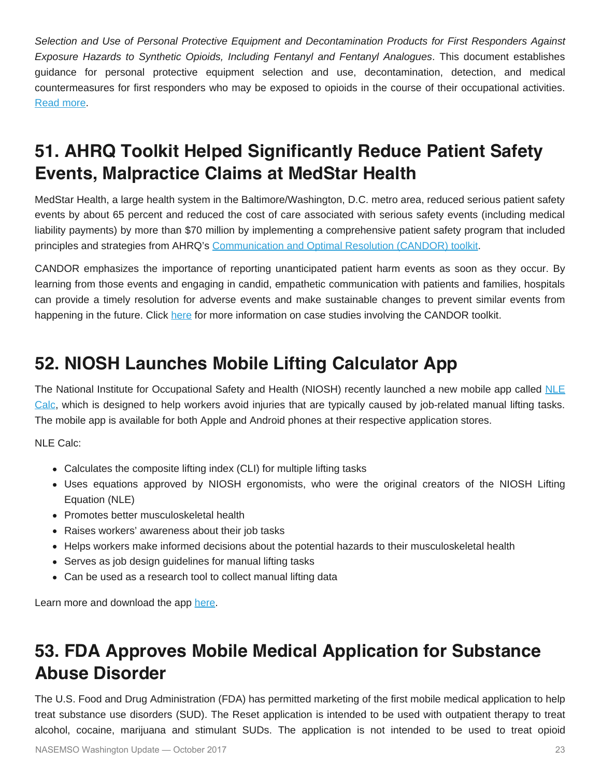*Selection and Use of Personal Protective Equipment and Decontamination Products for First Responders Against Exposure Hazards to Synthetic Opioids, Including Fentanyl and Fentanyl Analogues*. This document establishes guidance for personal protective equipment selection and use, decontamination, detection, and medical countermeasures for first responders who may be exposed to opioids in the course of their occupational activities. [Read more.](https://tinyurl.com/yd5xz6ne)

## **51. AHRQ Toolkit Helped Significantly Reduce Patient Safety Events, Malpractice Claims at MedStar Health**

MedStar Health, a large health system in the Baltimore/Washington, D.C. metro area, reduced serious patient safety events by about 65 percent and reduced the cost of care associated with serious safety events (including medical liability payments) by more than \$70 million by implementing a comprehensive patient safety program that included principles and strategies from AHRQ's [Communication and Optimal Resolution \(CANDOR\) toolkit](http://links.govdelivery.com/track?type=click&enid=ZWFzPTEmbWFpbGluZ2lkPTIwMTcwOTI5Ljc4ODAyMTgxJm1lc3NhZ2VpZD1NREItUFJELUJVTC0yMDE3MDkyOS43ODgwMjE4MSZkYXRhYmFzZWlkPTEwMDEmc2VyaWFsPTE3NDU0MjgxJmVtYWlsaWQ9a3JvYmluc29uQGFzbWlpLm5ldCZ1c2VyaWQ9a3JvYmluc29uQGFzbWlpLm5ldCZmbD0mZXh0cmE9TXVsdGl2YXJpYXRlSWQ9JiYm&&&101&&&https://www.ahrq.gov/professionals/quality-patient-safety/patient-safety-resources/resources/candor/introduction.html).

CANDOR emphasizes the importance of reporting unanticipated patient harm events as soon as they occur. By learning from those events and engaging in candid, empathetic communication with patients and families, hospitals can provide a timely resolution for adverse events and make sustainable changes to prevent similar events from happening in the future. Click [here](http://links.govdelivery.com/track?type=click&enid=ZWFzPTEmbWFpbGluZ2lkPTIwMTcwOTI5Ljc4ODAyMTgxJm1lc3NhZ2VpZD1NREItUFJELUJVTC0yMDE3MDkyOS43ODgwMjE4MSZkYXRhYmFzZWlkPTEwMDEmc2VyaWFsPTE3NDU0MjgxJmVtYWlsaWQ9a3JvYmluc29uQGFzbWlpLm5ldCZ1c2VyaWQ9a3JvYmluc29uQGFzbWlpLm5ldCZmbD0mZXh0cmE9TXVsdGl2YXJpYXRlSWQ9JiYm&&&102&&&https://www.ahrq.gov/policymakers/case-studies/201712.html?utm_source=12&utm_medium=psls1&utm_term=&utm_content=4&utm_campaign=ahrq_ics_2017) for more information on case studies involving the CANDOR toolkit.

## **52. NIOSH Launches Mobile Lifting Calculator App**

The National Institute for Occupational Safety and Health (NIOSH) recently launched a new mobile app called [NLE](https://www.cdc.gov/niosh/topics/ergonomics/nlecalc.html) [Calc,](https://www.cdc.gov/niosh/topics/ergonomics/nlecalc.html) which is designed to help workers avoid injuries that are typically caused by job-related manual lifting tasks. The mobile app is available for both Apple and Android phones at their respective application stores.

NLE Calc:

- Calculates the composite lifting index (CLI) for multiple lifting tasks
- Uses equations approved by NIOSH ergonomists, who were the original creators of the NIOSH Lifting Equation (NLE)
- Promotes better musculoskeletal health
- Raises workers' awareness about their job tasks
- Helps workers make informed decisions about the potential hazards to their musculoskeletal health
- Serves as job design guidelines for manual lifting tasks
- Can be used as a research tool to collect manual lifting data

Learn more and download the app [here](https://www.cdc.gov/niosh/topics/ergonomics/nlecalc.html).

## **53. FDA Approves Mobile Medical Application for Substance Abuse Disorder**

The U.S. Food and Drug Administration (FDA) has permitted marketing of the first mobile medical application to help treat substance use disorders (SUD). The Reset application is intended to be used with outpatient therapy to treat alcohol, cocaine, marijuana and stimulant SUDs. The application is not intended to be used to treat opioid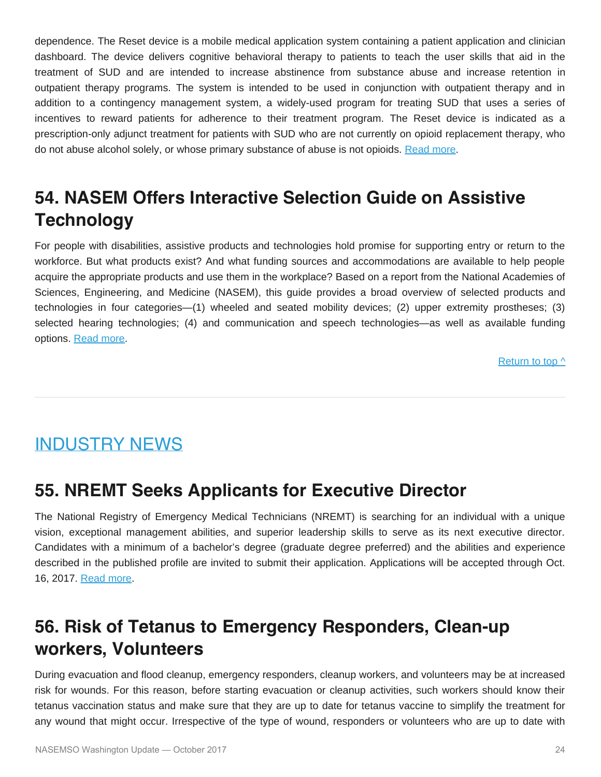dependence. The Reset device is a mobile medical application system containing a patient application and clinician dashboard. The device delivers cognitive behavioral therapy to patients to teach the user skills that aid in the treatment of SUD and are intended to increase abstinence from substance abuse and increase retention in outpatient therapy programs. The system is intended to be used in conjunction with outpatient therapy and in addition to a contingency management system, a widely-used program for treating SUD that uses a series of incentives to reward patients for adherence to their treatment program. The Reset device is indicated as a prescription-only adjunct treatment for patients with SUD who are not currently on opioid replacement therapy, who do not abuse alcohol solely, or whose primary substance of abuse is not opioids. [Read more](https://www.fda.gov/NewsEvents/Newsroom/PressAnnouncements/ucm576087.htm).

## **54. NASEM Offers Interactive Selection Guide on Assistive Technology**

For people with disabilities, assistive products and technologies hold promise for supporting entry or return to the workforce. But what products exist? And what funding sources and accommodations are available to help people acquire the appropriate products and use them in the workplace? Based on a report from the National Academies of Sciences, Engineering, and Medicine (NASEM), this guide provides a broad overview of selected products and technologies in four categories—(1) wheeled and seated mobility devices; (2) upper extremity prostheses; (3) selected hearing technologies; (4) and communication and speech technologies—as well as available funding options. [Read more](http://resources.nationalacademies.org/infographics/assistivedevices/assistivedevices.html).

[Return to top ^](#page-0-0)

## <span id="page-23-0"></span>INDUSTRY NEWS

### **55. NREMT Seeks Applicants for Executive Director**

The National Registry of Emergency Medical Technicians (NREMT) is searching for an individual with a unique vision, exceptional management abilities, and superior leadership skills to serve as its next executive director. Candidates with a minimum of a bachelor's degree (graduate degree preferred) and the abilities and experience described in the published profile are invited to submit their application. Applications will be accepted through Oct. 16, 2017. [Read more](https://www.nremt.org/rwd/public/document/news-executive-director).

## **56. Risk of Tetanus to Emergency Responders, Clean-up workers, Volunteers**

During evacuation and flood cleanup, emergency responders, cleanup workers, and volunteers may be at increased risk for wounds. For this reason, before starting evacuation or cleanup activities, such workers should know their tetanus vaccination status and make sure that they are up to date for tetanus vaccine to simplify the treatment for any wound that might occur. Irrespective of the type of wound, responders or volunteers who are up to date with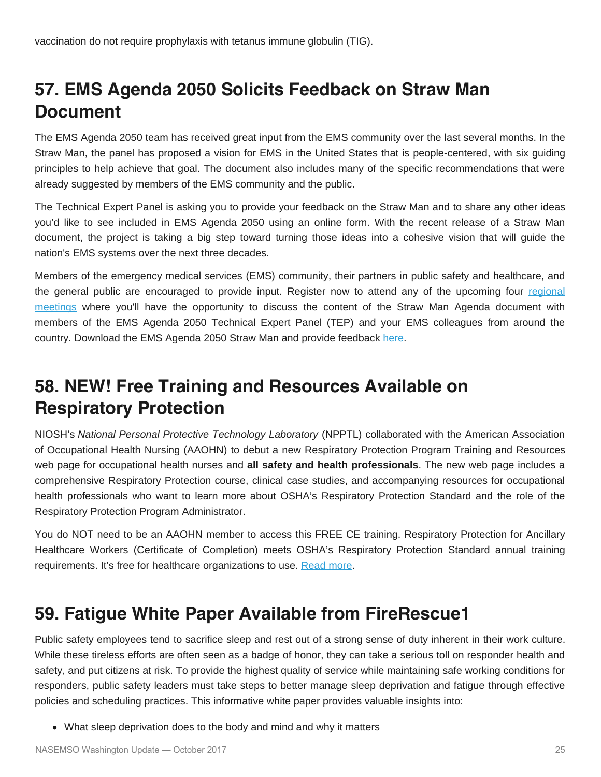## **57. EMS Agenda 2050 Solicits Feedback on Straw Man Document**

The EMS Agenda 2050 team has received great input from the EMS community over the last several months. In the Straw Man, the panel has proposed a vision for EMS in the United States that is people-centered, with six guiding principles to help achieve that goal. The document also includes many of the specific recommendations that were already suggested by members of the EMS community and the public.

The Technical Expert Panel is asking you to provide your feedback on the Straw Man and to share any other ideas you'd like to see included in EMS Agenda 2050 using an online form. With the recent release of a Straw Man document, the project is taking a big step toward turning those ideas into a cohesive vision that will guide the nation's EMS systems over the next three decades.

Members of the emergency medical services (EMS) community, their partners in public safety and healthcare, and the general public are encouraged to provide input. Register now to attend any of the upcoming four [regional](http://emsagenda2050.org/regional-public-meetings) [meetings](http://emsagenda2050.org/regional-public-meetings) where you'll have the opportunity to discuss the content of the Straw Man Agenda document with members of the EMS Agenda 2050 Technical Expert Panel (TEP) and your EMS colleagues from around the country. Download the EMS Agenda 2050 Straw Man and provide feedback [here](http://emsagenda2050.org/).

## **58. NEW! Free Training and Resources Available on Respiratory Protection**

NIOSH's *National Personal Protective Technology Laboratory* (NPPTL) collaborated with the American Association of Occupational Health Nursing (AAOHN) to debut a new Respiratory Protection Program Training and Resources web page for occupational health nurses and **all safety and health professionals**. The new web page includes a comprehensive Respiratory Protection course, clinical case studies, and accompanying resources for occupational health professionals who want to learn more about OSHA's Respiratory Protection Standard and the role of the Respiratory Protection Program Administrator.

You do NOT need to be an AAOHN member to access this FREE CE training. Respiratory Protection for Ancillary Healthcare Workers (Certificate of Completion) meets OSHA's Respiratory Protection Standard annual training requirements. It's free for healthcare organizations to use. [Read more](http://aaohn.org/respiratory-protection).

## **59. Fatigue White Paper Available from FireRescue1**

Public safety employees tend to sacrifice sleep and rest out of a strong sense of duty inherent in their work culture. While these tireless efforts are often seen as a badge of honor, they can take a serious toll on responder health and safety, and put citizens at risk. To provide the highest quality of service while maintaining safe working conditions for responders, public safety leaders must take steps to better manage sleep deprivation and fatigue through effective policies and scheduling practices. This informative white paper provides valuable insights into:

What sleep deprivation does to the body and mind and why it matters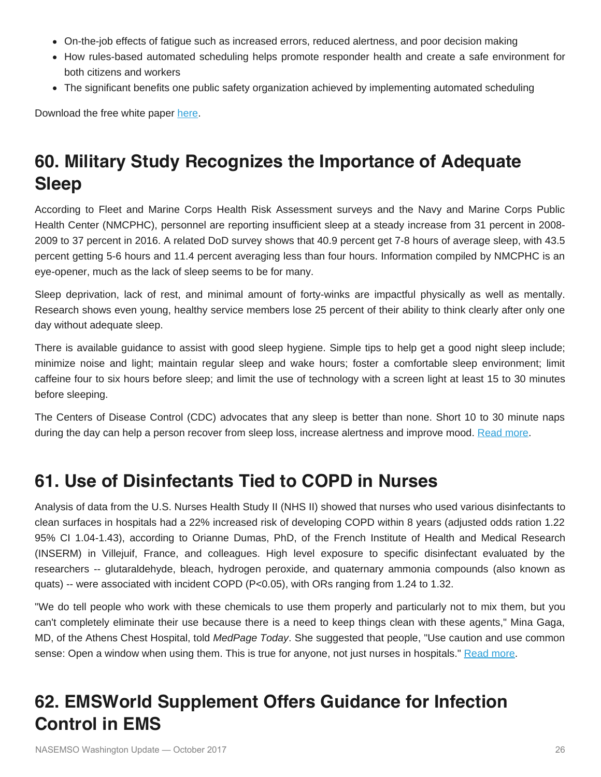- On-the-job effects of fatigue such as increased errors, reduced alertness, and poor decision making
- How rules-based automated scheduling helps promote responder health and create a safe environment for both citizens and workers
- The significant benefits one public safety organization achieved by implementing automated scheduling

Download the free white paper [here](https://www.firerescue1.com/fire-products/technology/articles/114106018-White-Paper-The-Impact-of-Fatigue-on-the-Public-Safety-Workforce/?ly=1).

## **60. Military Study Recognizes the Importance of Adequate Sleep**

According to Fleet and Marine Corps Health Risk Assessment surveys and the Navy and Marine Corps Public Health Center (NMCPHC), personnel are reporting insufficient sleep at a steady increase from 31 percent in 2008- 2009 to 37 percent in 2016. A related DoD survey shows that 40.9 percent get 7-8 hours of average sleep, with 43.5 percent getting 5-6 hours and 11.4 percent averaging less than four hours. Information compiled by NMCPHC is an eye-opener, much as the lack of sleep seems to be for many.

Sleep deprivation, lack of rest, and minimal amount of forty-winks are impactful physically as well as mentally. Research shows even young, healthy service members lose 25 percent of their ability to think clearly after only one day without adequate sleep.

There is available guidance to assist with good sleep hygiene. Simple tips to help get a good night sleep include; minimize noise and light; maintain regular sleep and wake hours; foster a comfortable sleep environment; limit caffeine four to six hours before sleep; and limit the use of technology with a screen light at least 15 to 30 minutes before sleeping.

The Centers of Disease Control (CDC) advocates that any sleep is better than none. Short 10 to 30 minute naps during the day can help a person recover from sleep loss, increase alertness and improve mood. [Read more](http://www.navy.mil/submit/display.asp?story_id=102229).

## **61. Use of Disinfectants Tied to COPD in Nurses**

Analysis of data from the U.S. Nurses Health Study II (NHS II) showed that nurses who used various disinfectants to clean surfaces in hospitals had a 22% increased risk of developing COPD within 8 years (adjusted odds ration 1.22 95% CI 1.04-1.43), according to Orianne Dumas, PhD, of the French Institute of Health and Medical Research (INSERM) in Villejuif, France, and colleagues. High level exposure to specific disinfectant evaluated by the researchers -- glutaraldehyde, bleach, hydrogen peroxide, and quaternary ammonia compounds (also known as quats) -- were associated with incident COPD ( $P<0.05$ ), with ORs ranging from 1.24 to 1.32.

"We do tell people who work with these chemicals to use them properly and particularly not to mix them, but you can't completely eliminate their use because there is a need to keep things clean with these agents," Mina Gaga, MD, of the Athens Chest Hospital, told *MedPage Today*. She suggested that people, "Use caution and use common sense: Open a window when using them. This is true for anyone, not just nurses in hospitals." [Read more.](https://www.medpagetoday.com/mastery-of-medicine/pulmonology-mastery-in-copd/67810)

## **62. EMSWorld Supplement Offers Guidance for Infection Control in EMS**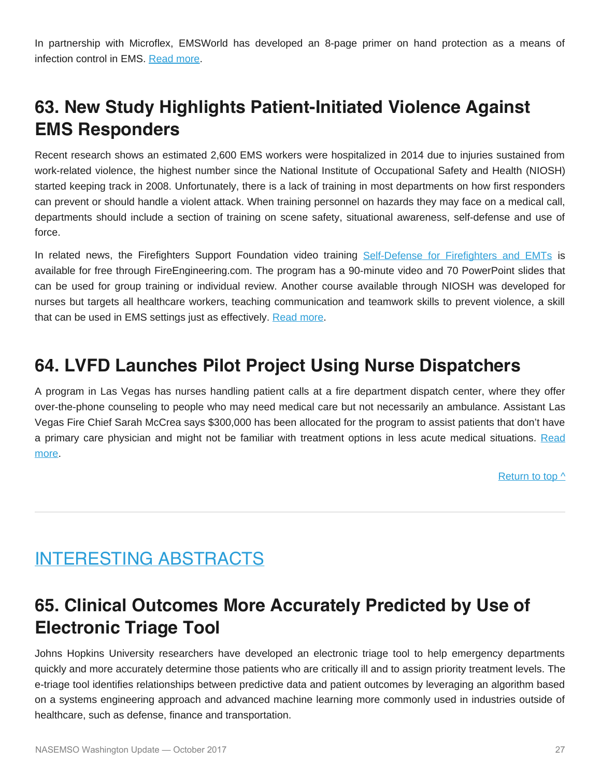In partnership with Microflex, EMSWorld has developed an 8-page primer on hand protection as a means of infection control in EMS. [Read more](http://www.emsworld.com/sites/default/files/files/base/EMSR/document/2017/06/EMS_Ansell_white_paper_designed_170601.pdf).

## **63. New Study Highlights Patient-Initiated Violence Against EMS Responders**

Recent research shows an estimated 2,600 EMS workers were hospitalized in 2014 due to injuries sustained from work-related violence, the highest number since the National Institute of Occupational Safety and Health (NIOSH) started keeping track in 2008. Unfortunately, there is a lack of training in most departments on how first responders can prevent or should handle a violent attack. When training personnel on hazards they may face on a medical call, departments should include a section of training on scene safety, situational awareness, self-defense and use of force.

In related news, the Firefighters Support Foundation video training [Self-Defense for Firefighters and EMTs](http://www.fireengineering.com/articles/2010/06/fsf-self-defense.html) is available for free through FireEngineering.com. The program has a 90-minute video and 70 PowerPoint slides that can be used for group training or individual review. Another course available through NIOSH was developed for nurses but targets all healthcare workers, teaching communication and teamwork skills to prevent violence, a skill that can be used in EMS settings just as effectively. [Read more](https://www.cdc.gov/niosh/topics/violence/training_nurses.html).

#### **64. LVFD Launches Pilot Project Using Nurse Dispatchers**

A program in Las Vegas has nurses handling patient calls at a fire department dispatch center, where they offer over-the-phone counseling to people who may need medical care but not necessarily an ambulance. Assistant Las Vegas Fire Chief Sarah McCrea says \$300,000 has been allocated for the program to assist patients that don't have a primary care physician and might not be familiar with treatment options in less acute medical situations. [Read](https://www.reviewjournal.com/local/local-las-vegas/new-program-has-las-vegas-nurses-taking-calls/) [more](https://www.reviewjournal.com/local/local-las-vegas/new-program-has-las-vegas-nurses-taking-calls/).

[Return to top ^](#page-0-0)

## <span id="page-26-0"></span>INTERESTING ABSTRACTS

## **65. Clinical Outcomes More Accurately Predicted by Use of Electronic Triage Tool**

Johns Hopkins University researchers have developed an electronic triage tool to help emergency departments quickly and more accurately determine those patients who are critically ill and to assign priority treatment levels. The e-triage tool identifies relationships between predictive data and patient outcomes by leveraging an algorithm based on a systems engineering approach and advanced machine learning more commonly used in industries outside of healthcare, such as defense, finance and transportation.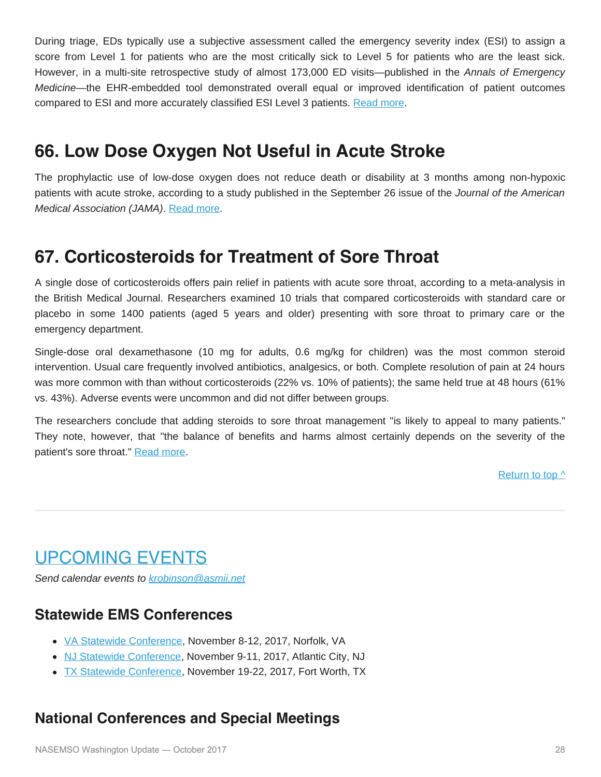During triage, EDs typically use a subjective assessment called the emergency severity index (ESI) to assign a score from Level 1 for patients who are the most critically sick to Level 5 for patients who are the least sick. However, in a multi-site retrospective study of almost 173,000 ED visits—published in the *Annals of Emergency Medicine*—the EHR-embedded tool demonstrated overall equal or improved identification of patient outcomes compared to ESI and more accurately classified ESI Level 3 patients. [Read more.](http://www.annemergmed.com/article/S0196-0644(17)31442-7/fulltext)

### **66. Low Dose Oxygen Not Useful in Acute Stroke**

The prophylactic use of low-dose oxygen does not reduce death or disability at 3 months among non-hypoxic patients with acute stroke, according to a study published in the September 26 issue of the *Journal of the American Medical Association (JAMA)*. [Read more.](http://jamanetwork.com/journals/jama/article-abstract/2654819)

## **67. Corticosteroids for Treatment of Sore Throat**

A single dose of corticosteroids offers pain relief in patients with acute sore throat, according to a meta-analysis in the British Medical Journal. Researchers examined 10 trials that compared corticosteroids with standard care or placebo in some 1400 patients (aged 5 years and older) presenting with sore throat to primary care or the emergency department.

Single-dose oral dexamethasone (10 mg for adults, 0.6 mg/kg for children) was the most common steroid intervention. Usual care frequently involved antibiotics, analgesics, or both. Complete resolution of pain at 24 hours was more common with than without corticosteroids (22% vs. 10% of patients); the same held true at 48 hours (61% vs. 43%). Adverse events were uncommon and did not differ between groups.

The researchers conclude that adding steroids to sore throat management "is likely to appeal to many patients." They note, however, that "the balance of benefits and harms almost certainly depends on the severity of the patient's sore throat." [Read more.](http://www.bmj.com/content/358/bmj.j3887)

[Return to top ^](#page-0-0)

## <span id="page-27-0"></span>UPCOMING EVENTS

*Send calendar events to [krobinson@asmii.net](mailto:krobinson@asmii.net?subject=Calendar%20Event%20for%20Washington%20Update)*

#### **Statewide EMS Conferences**

- [VA Statewide Conference,](http://www.vdh.virginia.gov/emergency-medical-services/2017-ems-symposium/) November 8-12, 2017, Norfolk, VA
- [NJ Statewide Conference,](http://www.njemsconference.com/) November 9-11, 2017, Atlantic City, NJ
- [TX Statewide Conference](http://texasemsconference.com/), November 19-22, 2017, Fort Worth, TX

#### **National Conferences and Special Meetings**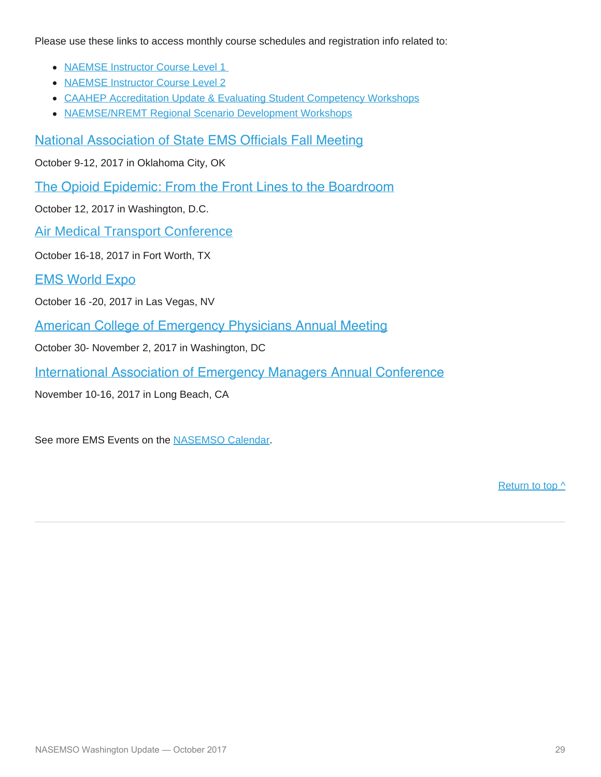Please use these links to access monthly course schedules and registration info related to:

- [NAEMSE Instructor Course Level 1](http://naemse.org/?page=LVL1InstructorCourse)
- [NAEMSE Instructor Course Level 2](http://naemse.org/?page=LVL2InstructorCourse)
- [CAAHEP Accreditation Update & Evaluating Student Competency Workshops](http://naemse.org/?page=coaemsp)
- [NAEMSE/NREMT Regional Scenario Development Workshops](http://naemse.org/?page=nremt)

[National Association of State EMS Officials Fall Meeting](http://www.nasemso.org/)

October 9-12, 2017 in Oklahoma City, OK

[The Opioid Epidemic: From the Front Lines to the Boardroom](https://www.uschamber.com/event/the-opioid-epidemic-the-front-lines-the-boardroom)

October 12, 2017 in Washington, D.C.

[Air Medical Transport Conference](http://aams.org/education-meetings/)

October 16-18, 2017 in Fort Worth, TX

[EMS World Expo](http://www.emsworldexpo.com/)

October 16 -20, 2017 in Las Vegas, NV

[American College of Emergency Physicians Annual Meeting](https://www.acep.org/)

October 30- November 2, 2017 in Washington, DC

[International Association of Emergency Managers Annual Conference](https://iaemconference.info/)

November 10-16, 2017 in Long Beach, CA

See more EMS Events on the [NASEMSO Calendar.](http://www.nasemso.org/Resources/Calendar/index.asp)

[Return to top ^](#page-0-0)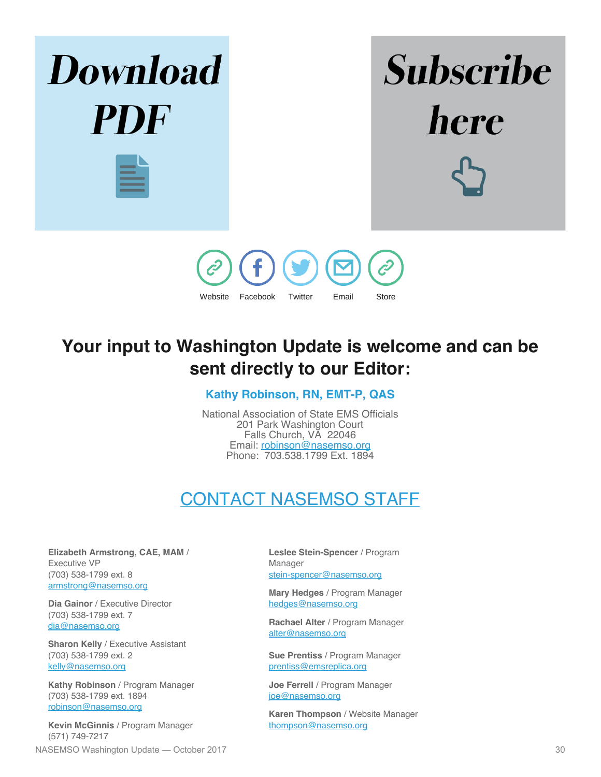

## **Your input to Washington Update is welcome and can be sent directly to our Editor:**

#### **Kathy Robinson, RN, EMT-P, QAS**

National Association of State EMS Officials 201 Park Washington Court Falls Church, VA 22046 Email: [robinson@nasemso.org](mailto:robinson@nasemso.org) Phone: 703.538.1799 Ext. 1894

## CONTACT NASEMSO STAFF

<span id="page-29-0"></span>**Elizabeth Armstrong, CAE, MAM** / Executive VP (703) 538-1799 ext. 8 [armstrong@nasemso.org](mailto:armstrong@nasemso.org)

**Dia Gainor** / Executive Director (703) 538-1799 ext. 7 [dia@nasemso.org](mailto:dia@nasemso.org)

**Sharon Kelly** / Executive Assistant (703) 538-1799 ext. 2 [kelly@nasemso.org](mailto:kelly@nasemso.org)

**Kathy Robinson** / Program Manager (703) 538-1799 ext. 1894 [robinson@nasemso.org](mailto:robinson@nasemso.org)

**Kevin McGinnis** / Program Manager (571) 749-7217 NASEMSO Washington Update — October 2017 30

**Leslee Stein-Spencer** / Program Manager [stein-spencer@nasemso.org](mailto:stein-spencer@nasemso.org)

**Mary Hedges** / Program Manager [hedges@nasemso.org](mailto:hedges@nasemso.org)

**Rachael Alter** / Program Manager [alter@nasemso.org](mailto:alter@nasemso.org)

**Sue Prentiss** / Program Manager [prentiss@emsreplica.org](mailto:prentiss@emsreplica.org)

**Joe Ferrell** / Program Manager [joe@nasemso.org](mailto:joe@nasemso.org)

**Karen Thompson** / Website Manager [thompson@nasemso.org](mailto:thompson@nasemso.org)